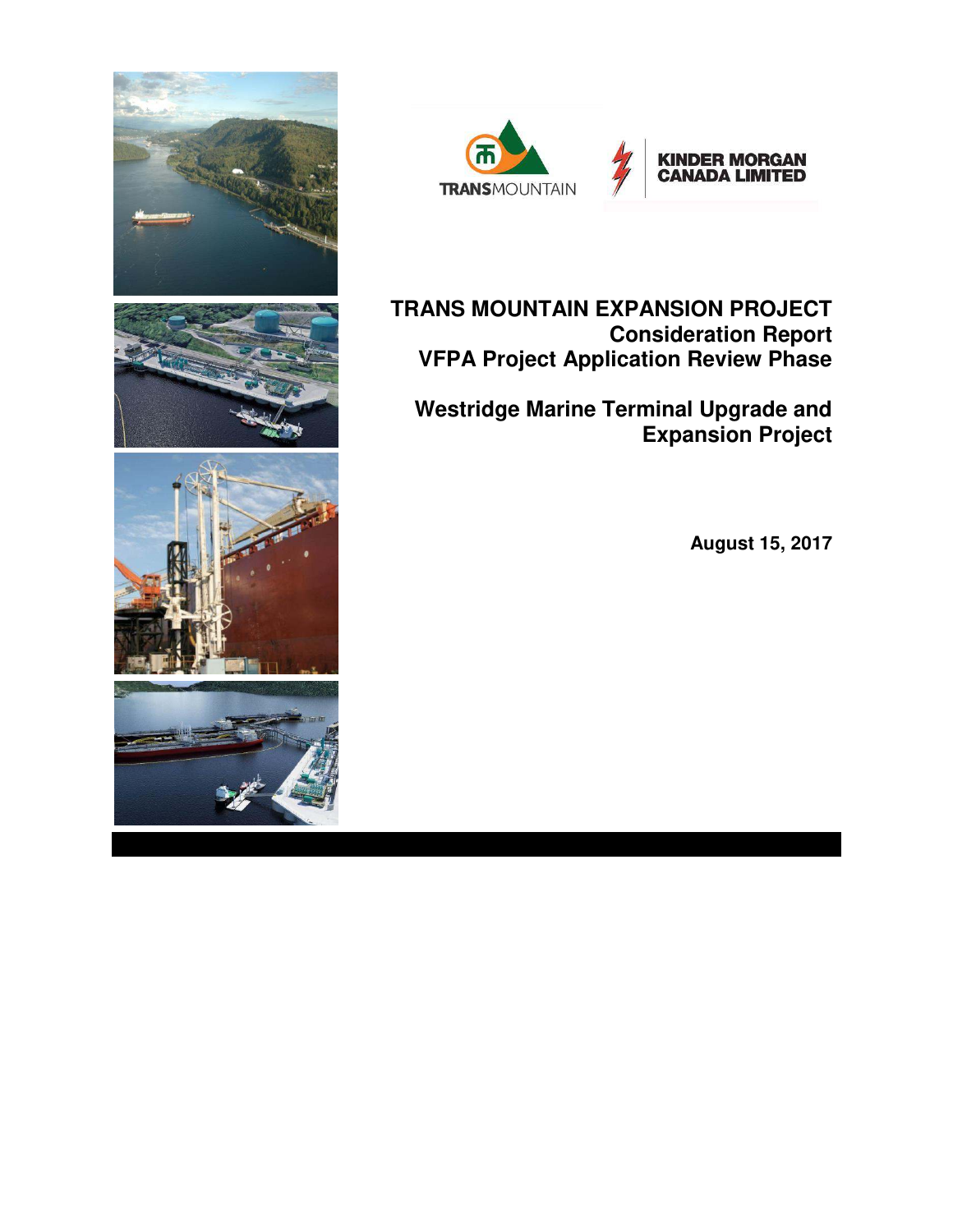



**TRANS MOUNTAIN EXPANSION PROJECT Consideration Report VFPA Project Application Review Phase** 

**Westridge Marine Terminal Upgrade and Expansion Project** 

**August 15, 2017**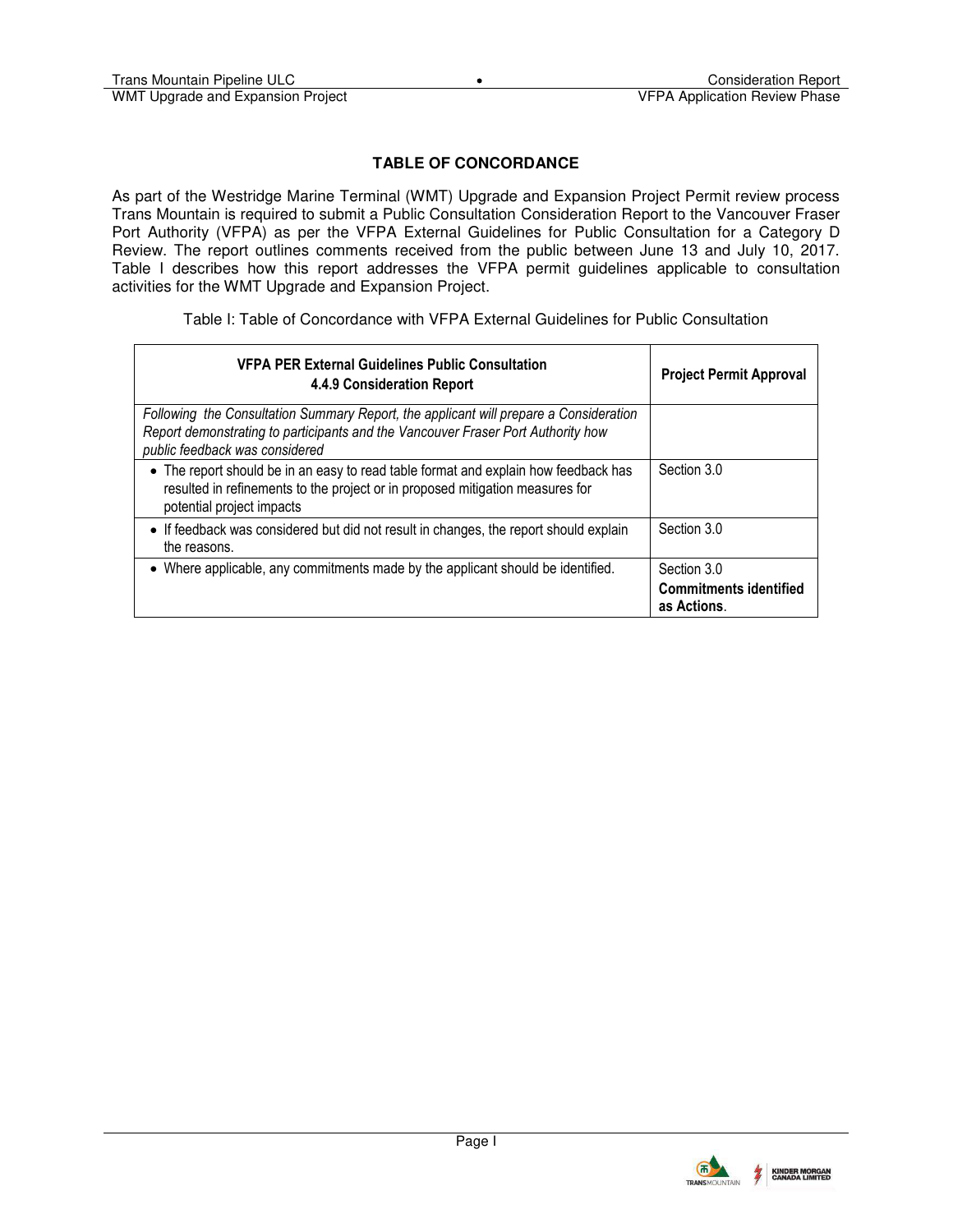## **TABLE OF CONCORDANCE**

As part of the Westridge Marine Terminal (WMT) Upgrade and Expansion Project Permit review process Trans Mountain is required to submit a Public Consultation Consideration Report to the Vancouver Fraser Port Authority (VFPA) as per the VFPA External Guidelines for Public Consultation for a Category D Review. The report outlines comments received from the public between June 13 and July 10, 2017. Table I describes how this report addresses the VFPA permit guidelines applicable to consultation activities for the WMT Upgrade and Expansion Project.

Table I: Table of Concordance with VFPA External Guidelines for Public Consultation

| <b>VFPA PER External Guidelines Public Consultation</b><br>4.4.9 Consideration Report                                                                                                                       | <b>Project Permit Approval</b>                              |
|-------------------------------------------------------------------------------------------------------------------------------------------------------------------------------------------------------------|-------------------------------------------------------------|
| Following the Consultation Summary Report, the applicant will prepare a Consideration<br>Report demonstrating to participants and the Vancouver Fraser Port Authority how<br>public feedback was considered |                                                             |
| • The report should be in an easy to read table format and explain how feedback has<br>resulted in refinements to the project or in proposed mitigation measures for<br>potential project impacts           | Section 3.0                                                 |
| • If feedback was considered but did not result in changes, the report should explain<br>the reasons.                                                                                                       | Section 3.0                                                 |
| • Where applicable, any commitments made by the applicant should be identified.                                                                                                                             | Section 3.0<br><b>Commitments identified</b><br>as Actions. |

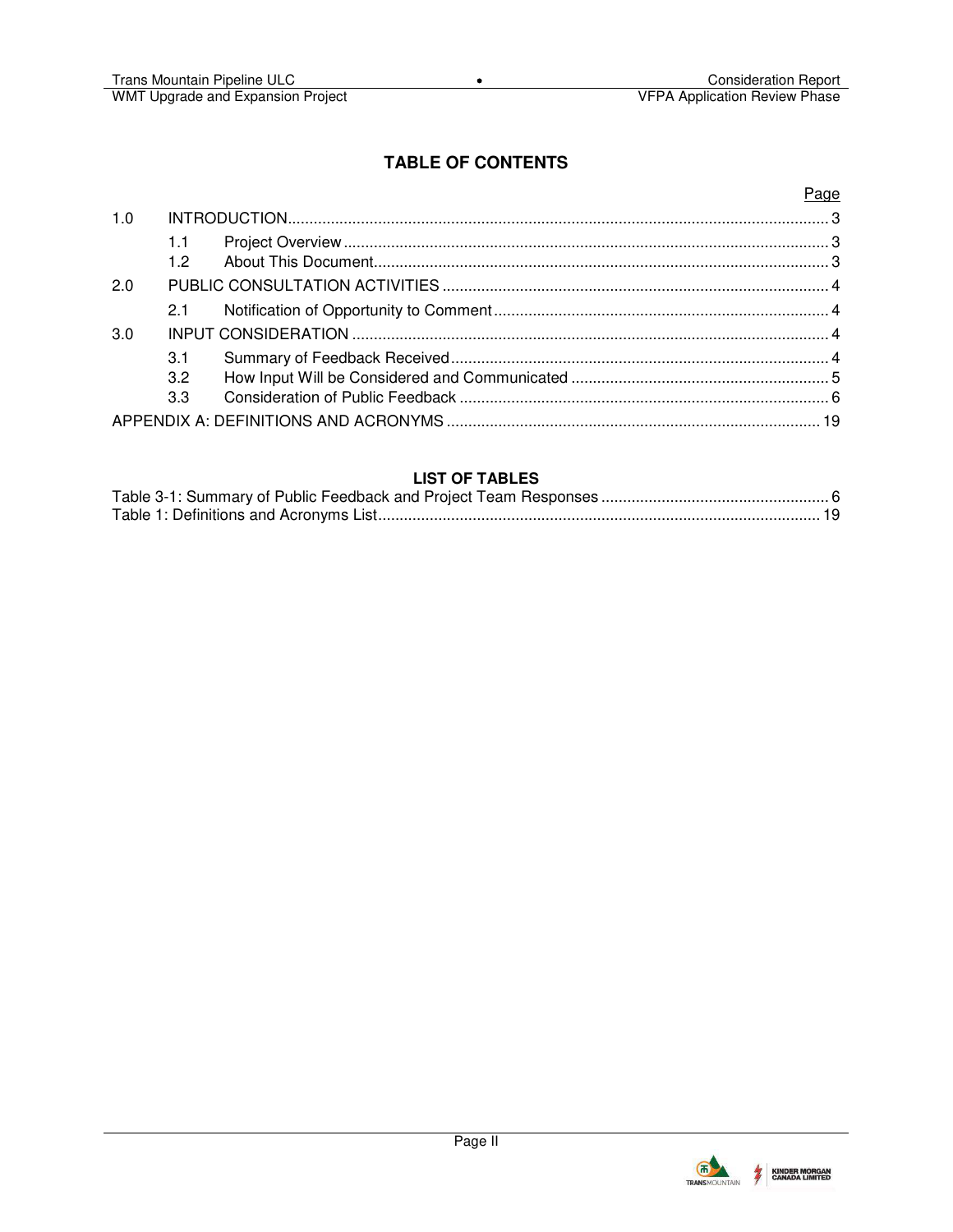## **TABLE OF CONTENTS**

## Page

| 1.0 |                        |  |
|-----|------------------------|--|
|     | 1.1<br>12 <sub>2</sub> |  |
| 2.0 |                        |  |
|     | 2.1                    |  |
| 3.0 |                        |  |
|     | 3.1                    |  |
|     | 3.2                    |  |
|     | 3.3                    |  |
|     |                        |  |

## **LIST OF TABLES**

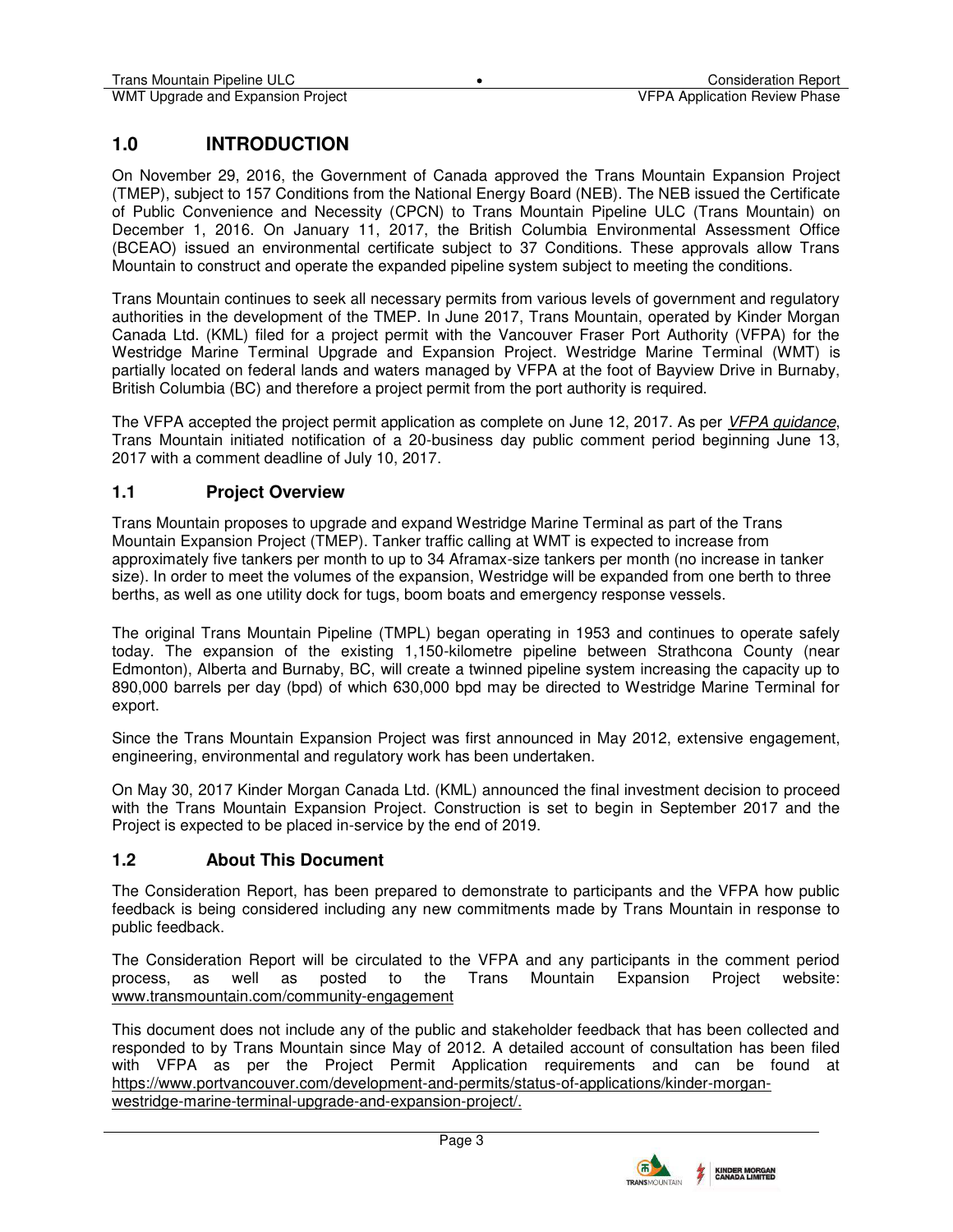## **1.0 INTRODUCTION**

On November 29, 2016, the Government of Canada approved the Trans Mountain Expansion Project (TMEP), subject to 157 Conditions from the National Energy Board (NEB). The NEB issued the Certificate of Public Convenience and Necessity (CPCN) to Trans Mountain Pipeline ULC (Trans Mountain) on December 1, 2016. On January 11, 2017, the British Columbia Environmental Assessment Office (BCEAO) issued an environmental certificate subject to 37 Conditions. These approvals allow Trans Mountain to construct and operate the expanded pipeline system subject to meeting the conditions.

Trans Mountain continues to seek all necessary permits from various levels of government and regulatory authorities in the development of the TMEP. In June 2017, Trans Mountain, operated by Kinder Morgan Canada Ltd. (KML) filed for a project permit with the Vancouver Fraser Port Authority (VFPA) for the Westridge Marine Terminal Upgrade and Expansion Project. Westridge Marine Terminal (WMT) is partially located on federal lands and waters managed by VFPA at the foot of Bayview Drive in Burnaby, British Columbia (BC) and therefore a project permit from the port authority is required.

The VFPA accepted the project permit application as complete on June 12, 2017. As per *[VFPA guidance](https://www.portvancouver.com/wp-content/uploads/2017/04/VFPA-PER-Public-Consultation-Guidelines-FINAL-2015-07-08.pdf)*, Trans Mountain initiated notification of a 20-business day public comment period beginning June 13, 2017 with a comment deadline of July 10, 2017.

## **1.1 Project Overview**

Trans Mountain proposes to upgrade and expand Westridge Marine Terminal as part of the Trans Mountain Expansion Project (TMEP). Tanker traffic calling at WMT is expected to increase from approximately five tankers per month to up to 34 Aframax-size tankers per month (no increase in tanker size). In order to meet the volumes of the expansion, Westridge will be expanded from one berth to three berths, as well as one utility dock for tugs, boom boats and emergency response vessels.

The original Trans Mountain Pipeline (TMPL) began operating in 1953 and continues to operate safely today. The expansion of the existing 1,150-kilometre pipeline between Strathcona County (near Edmonton), Alberta and Burnaby, BC, will create a twinned pipeline system increasing the capacity up to 890,000 barrels per day (bpd) of which 630,000 bpd may be directed to Westridge Marine Terminal for export.

Since the Trans Mountain Expansion Project was first announced in May 2012, extensive engagement, engineering, environmental and regulatory work has been undertaken.

On May 30, 2017 Kinder Morgan Canada Ltd. (KML) announced the final investment decision to proceed with the Trans Mountain Expansion Project. Construction is set to begin in September 2017 and the Project is expected to be placed in-service by the end of 2019.

## **1.2 About This Document**

The Consideration Report, has been prepared to demonstrate to participants and the VFPA how public feedback is being considered including any new commitments made by Trans Mountain in response to public feedback.

The Consideration Report will be circulated to the VFPA and any participants in the comment period process, as well as posted to the Trans Mountain Expansion Project website: [www.transmountain.com/community-engagement](http://www.transmountain.com/community-engagement)

This document does not include any of the public and stakeholder feedback that has been collected and responded to by Trans Mountain since May of 2012. A detailed account of consultation has been filed with VFPA as per the Project Permit Application requirements and can be found at [https://www.portvancouver.com/development-and-permits/status-of-applications/kinder-morgan](https://www.portvancouver.com/development-and-permits/status-of-applications/kinder-morgan-westridge-marine-terminal-upgrade-and-expansion-project/)[westridge-marine-terminal-upgrade-and-expansion-project/.](https://www.portvancouver.com/development-and-permits/status-of-applications/kinder-morgan-westridge-marine-terminal-upgrade-and-expansion-project/) 



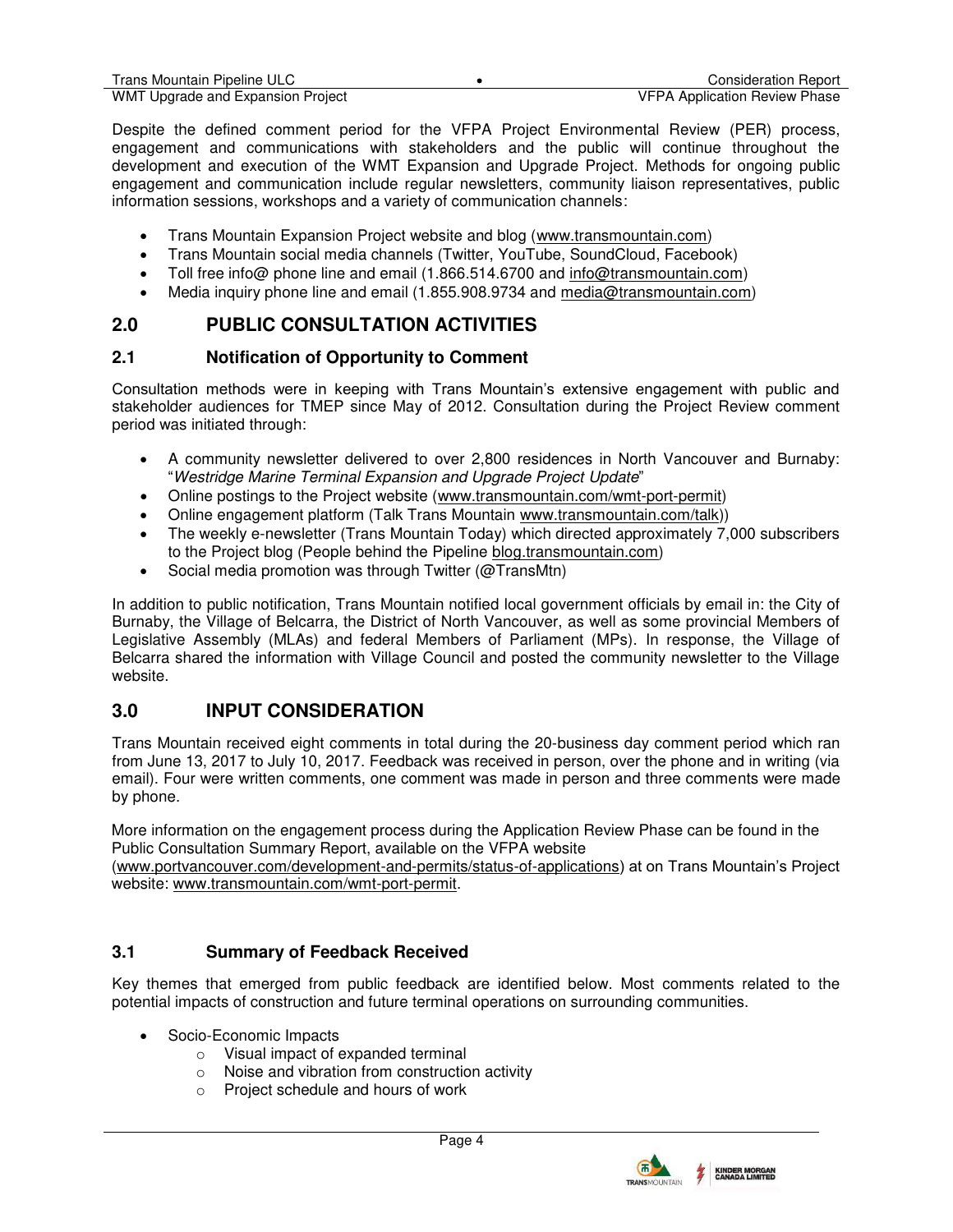Despite the defined comment period for the VFPA Project Environmental Review (PER) process, engagement and communications with stakeholders and the public will continue throughout the development and execution of the WMT Expansion and Upgrade Project. Methods for ongoing public engagement and communication include regular newsletters, community liaison representatives, public information sessions, workshops and a variety of communication channels:

- Trans Mountain Expansion Project website and blog [\(www.transmountain.com\)](http://www.transmountain.com/)
- Trans Mountain social media channels (Twitter, YouTube, SoundCloud, Facebook)
- Toll free info@ phone line and email (1.866.514.6700 and [info@transmountain.com\)](mailto:info@transmountain.com)
- Media inquiry phone line and email (1.855.908.9734 and [media@transmountain.com\)](mailto:media@transmountain.com)

# **2.0 PUBLIC CONSULTATION ACTIVITIES**

## **2.1 Notification of Opportunity to Comment**

Consultation methods were in keeping with Trans Mountain's extensive engagement with public and stakeholder audiences for TMEP since May of 2012. Consultation during the Project Review comment period was initiated through:

- A community newsletter delivered to over 2,800 residences in North Vancouver and Burnaby: "*Westridge Marine Terminal Expansion and Upgrade Project Update*"
- Online postings to the Project website [\(www.transmountain.com/wmt-port-permit\)](http://www.transmountain.com/wmt-port-permit)
- Online engagement platform (Talk Trans Mountain [www.transmountain.com/talk\)](http://www.transmountain.com/talk))
- The weekly e-newsletter (Trans Mountain Today) which directed approximately 7,000 subscribers to the Project blog (People behind the Pipeline [blog.transmountain.com\)](https://blog.transmountain.com/)
- Social media promotion was through Twitter (@TransMtn)

In addition to public notification, Trans Mountain notified local government officials by email in: the City of Burnaby, the Village of Belcarra, the District of North Vancouver, as well as some provincial Members of Legislative Assembly (MLAs) and federal Members of Parliament (MPs). In response, the Village of Belcarra shared the information with Village Council and posted the community newsletter to the Village website.

# **3.0 INPUT CONSIDERATION**

Trans Mountain received eight comments in total during the 20-business day comment period which ran from June 13, 2017 to July 10, 2017. Feedback was received in person, over the phone and in writing (via email). Four were written comments, one comment was made in person and three comments were made by phone.

More information on the engagement process during the Application Review Phase can be found in the Public Consultation Summary Report, available on the VFPA website

[\(www.portvancouver.com/development-and-permits/status-of-applications](http://www.portvancouver.com/development-and-permits/status-of-applications)) at on Trans Mountain's Project website: [www.transmountain.com/wmt-port-permit.](http://www.transmountain.com/wmt-port-permit)

## **3.1 Summary of Feedback Received**

Key themes that emerged from public feedback are identified below. Most comments related to the potential impacts of construction and future terminal operations on surrounding communities.

- Socio-Economic Impacts
	- o Visual impact of expanded terminal
	- o Noise and vibration from construction activity
	- o Project schedule and hours of work

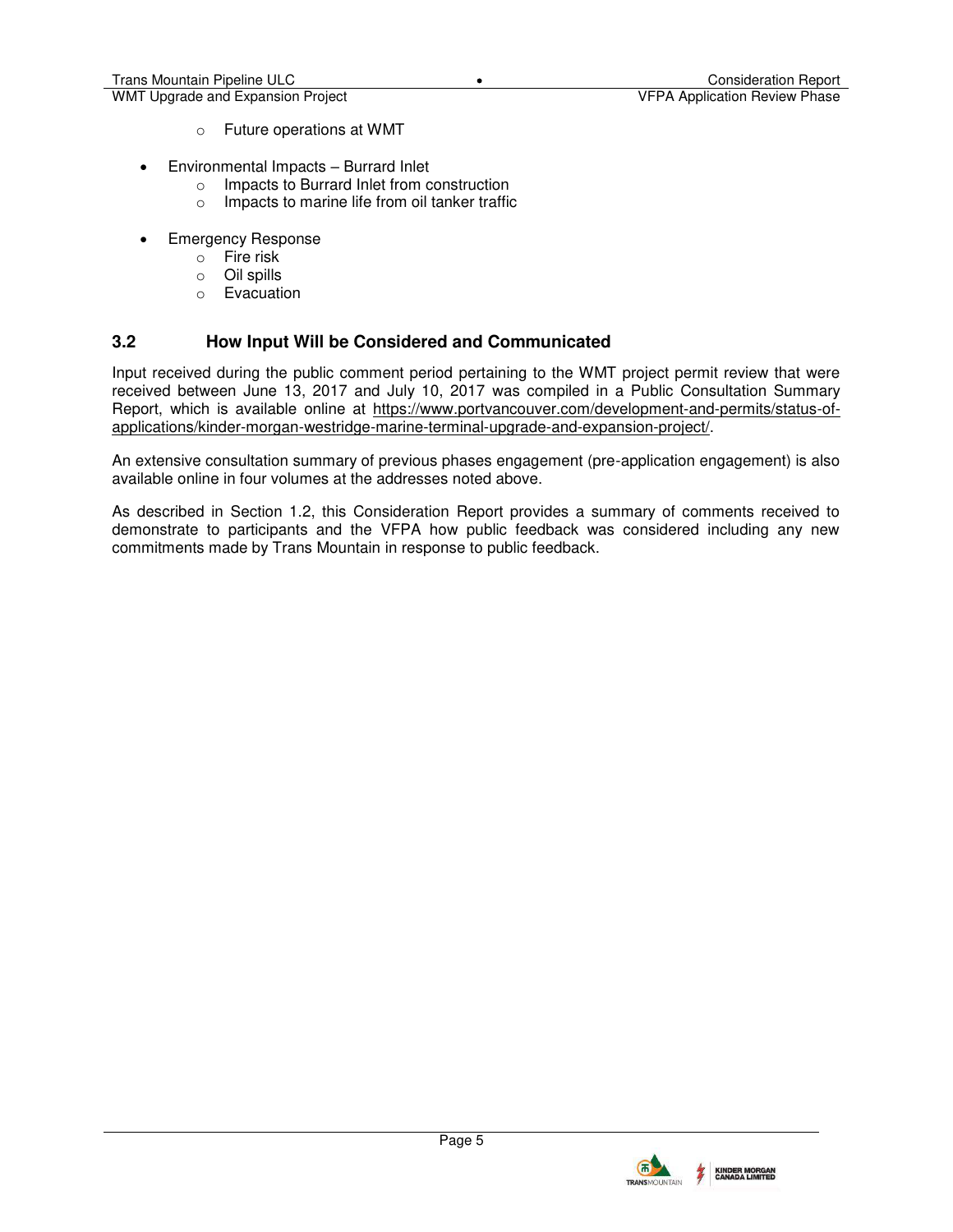- o Future operations at WMT
- Environmental Impacts Burrard Inlet
	- o Impacts to Burrard Inlet from construction
	- o Impacts to marine life from oil tanker traffic
- Emergency Response
	- o Fire risk
	- o Oil spills
	- o Evacuation

## **3.2 How Input Will be Considered and Communicated**

Input received during the public comment period pertaining to the WMT project permit review that were received between June 13, 2017 and July 10, 2017 was compiled in a Public Consultation Summary Report, which is available online at [https://www.portvancouver.com/development-and-permits/status-of](https://www.portvancouver.com/development-and-permits/status-of-applications/kinder-morgan-westridge-marine-terminal-upgrade-and-expansion-project/)[applications/kinder-morgan-westridge-marine-terminal-upgrade-and-expansion-project/.](https://www.portvancouver.com/development-and-permits/status-of-applications/kinder-morgan-westridge-marine-terminal-upgrade-and-expansion-project/)

An extensive consultation summary of previous phases engagement (pre-application engagement) is also available online in four volumes at the addresses noted above.

As described in Section 1.2, this Consideration Report provides a summary of comments received to demonstrate to participants and the VFPA how public feedback was considered including any new commitments made by Trans Mountain in response to public feedback.

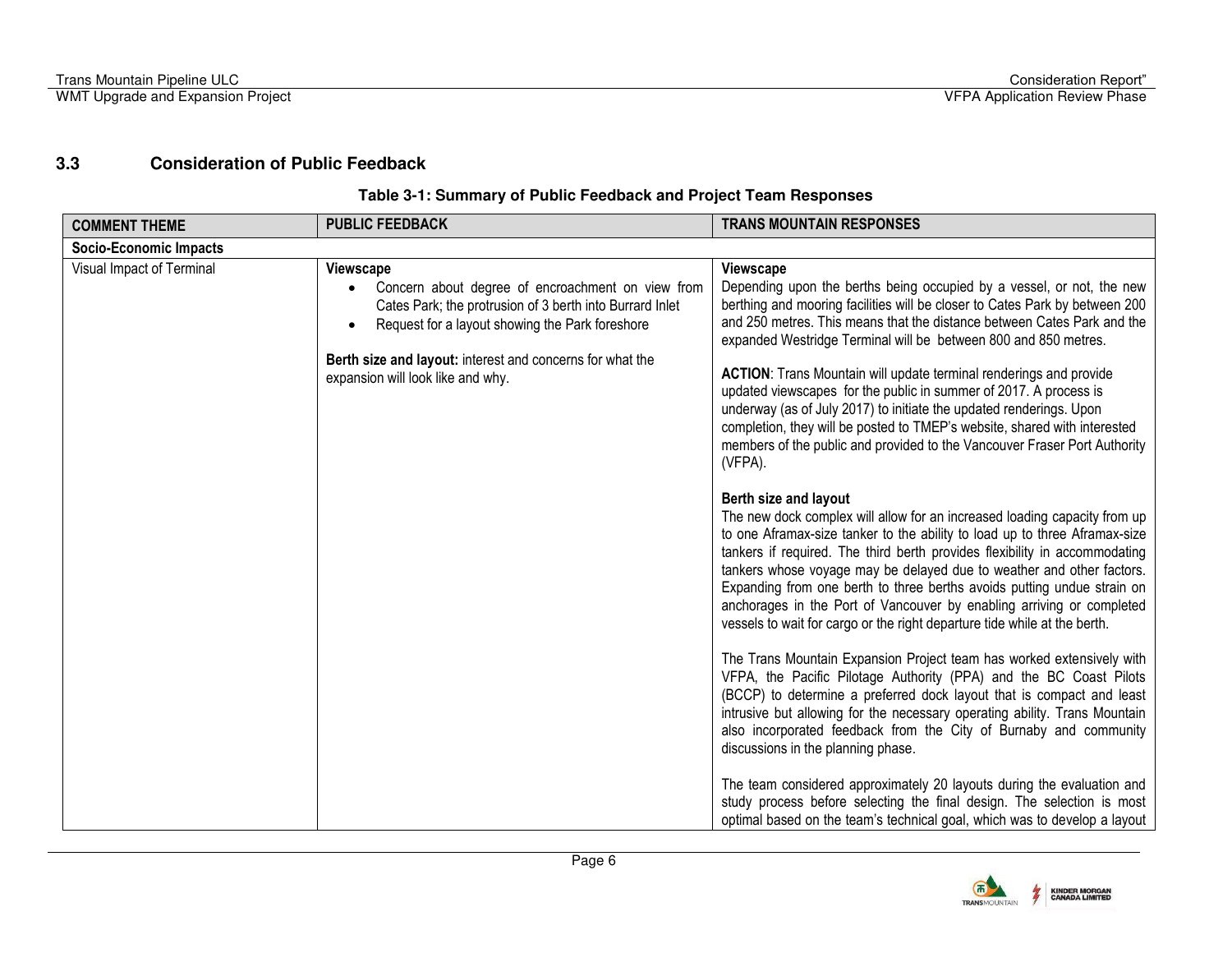## **3.3 Consideration of Public Feedback**

#### **Table 3-1: Summary of Public Feedback and Project Team Responses**

<span id="page-6-0"></span>

| <b>COMMENT THEME</b>          | <b>PUBLIC FEEDBACK</b>                                                                                                                                                                                                                                                                 | <b>TRANS MOUNTAIN RESPONSES</b>                                                                                                                                                                                                                                                                                                                                                                                                                                                                                                                                                                                                                                                                                                                                                                                                                                                                                                                                                                                                                                                                                                                                                                                                                                                                                                                                                                                                                                                                                                                                                                                                                                                                                                                                                                                                                                                                                                             |  |
|-------------------------------|----------------------------------------------------------------------------------------------------------------------------------------------------------------------------------------------------------------------------------------------------------------------------------------|---------------------------------------------------------------------------------------------------------------------------------------------------------------------------------------------------------------------------------------------------------------------------------------------------------------------------------------------------------------------------------------------------------------------------------------------------------------------------------------------------------------------------------------------------------------------------------------------------------------------------------------------------------------------------------------------------------------------------------------------------------------------------------------------------------------------------------------------------------------------------------------------------------------------------------------------------------------------------------------------------------------------------------------------------------------------------------------------------------------------------------------------------------------------------------------------------------------------------------------------------------------------------------------------------------------------------------------------------------------------------------------------------------------------------------------------------------------------------------------------------------------------------------------------------------------------------------------------------------------------------------------------------------------------------------------------------------------------------------------------------------------------------------------------------------------------------------------------------------------------------------------------------------------------------------------------|--|
| <b>Socio-Economic Impacts</b> |                                                                                                                                                                                                                                                                                        |                                                                                                                                                                                                                                                                                                                                                                                                                                                                                                                                                                                                                                                                                                                                                                                                                                                                                                                                                                                                                                                                                                                                                                                                                                                                                                                                                                                                                                                                                                                                                                                                                                                                                                                                                                                                                                                                                                                                             |  |
| Visual Impact of Terminal     | <b>Viewscape</b><br>Concern about degree of encroachment on view from<br>Cates Park; the protrusion of 3 berth into Burrard Inlet<br>Request for a layout showing the Park foreshore<br>Berth size and layout: interest and concerns for what the<br>expansion will look like and why. | Viewscape<br>Depending upon the berths being occupied by a vessel, or not, the new<br>berthing and mooring facilities will be closer to Cates Park by between 200<br>and 250 metres. This means that the distance between Cates Park and the<br>expanded Westridge Terminal will be between 800 and 850 metres.<br><b>ACTION:</b> Trans Mountain will update terminal renderings and provide<br>updated viewscapes for the public in summer of 2017. A process is<br>underway (as of July 2017) to initiate the updated renderings. Upon<br>completion, they will be posted to TMEP's website, shared with interested<br>members of the public and provided to the Vancouver Fraser Port Authority<br>(VFPA).<br>Berth size and layout<br>The new dock complex will allow for an increased loading capacity from up<br>to one Aframax-size tanker to the ability to load up to three Aframax-size<br>tankers if required. The third berth provides flexibility in accommodating<br>tankers whose voyage may be delayed due to weather and other factors.<br>Expanding from one berth to three berths avoids putting undue strain on<br>anchorages in the Port of Vancouver by enabling arriving or completed<br>vessels to wait for cargo or the right departure tide while at the berth.<br>The Trans Mountain Expansion Project team has worked extensively with<br>VFPA, the Pacific Pilotage Authority (PPA) and the BC Coast Pilots<br>(BCCP) to determine a preferred dock layout that is compact and least<br>intrusive but allowing for the necessary operating ability. Trans Mountain<br>also incorporated feedback from the City of Burnaby and community<br>discussions in the planning phase.<br>The team considered approximately 20 layouts during the evaluation and<br>study process before selecting the final design. The selection is most<br>optimal based on the team's technical goal, which was to develop a layout |  |

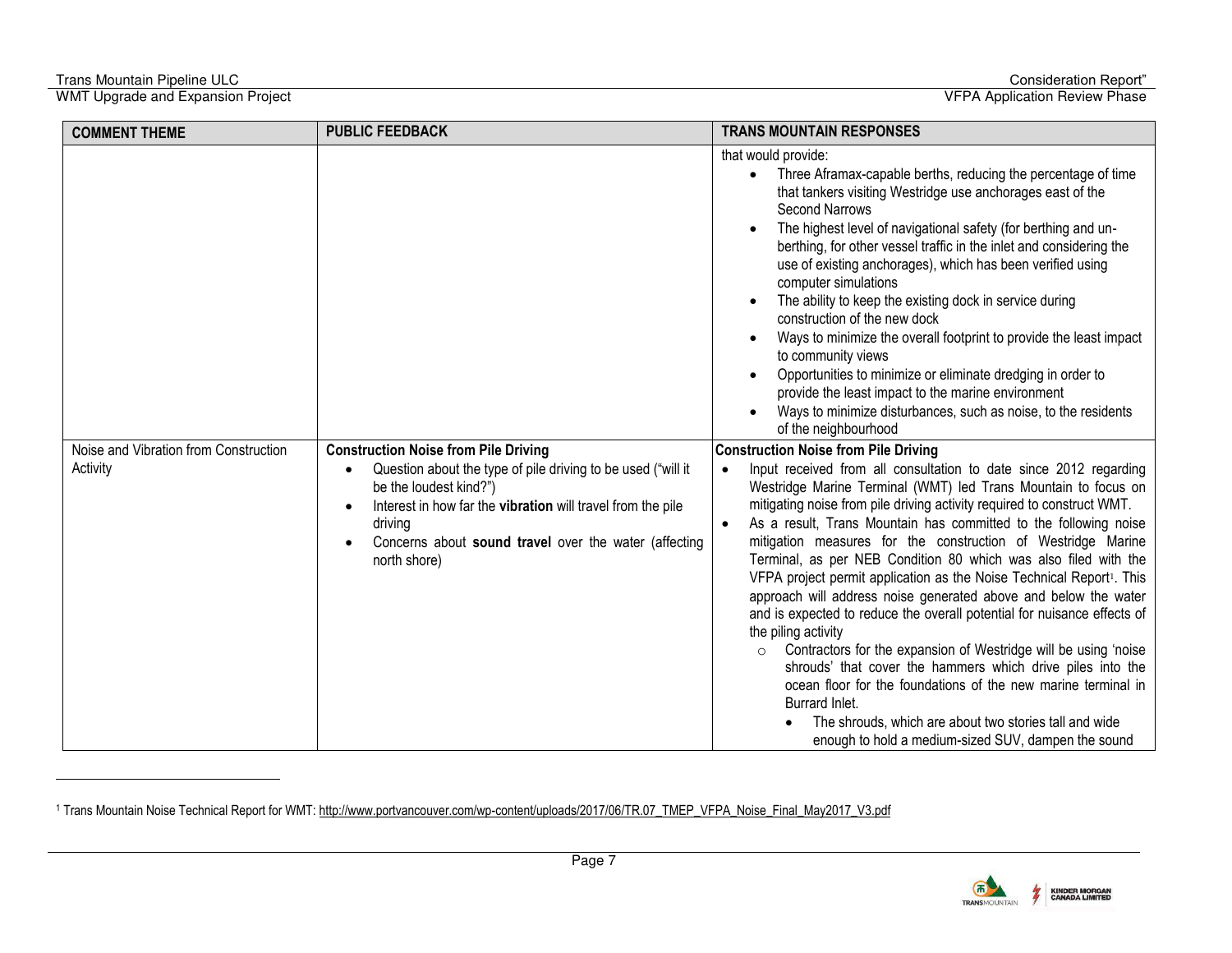-

| <b>COMMENT THEME</b>                              | <b>PUBLIC FEEDBACK</b>                                                                                                                                                                                                                                                                                             | <b>TRANS MOUNTAIN RESPONSES</b>                                                                                                                                                                                                                                                                                                                                                                                                                                                                                                                                                                                                                                                                                                                                                                                                                                                                                                                                                                                                                                                                                                                                                                                                                                                                                                                                                                                                                                                                                                                                                                                                                                                                                                                                                                                                                                                                   |
|---------------------------------------------------|--------------------------------------------------------------------------------------------------------------------------------------------------------------------------------------------------------------------------------------------------------------------------------------------------------------------|---------------------------------------------------------------------------------------------------------------------------------------------------------------------------------------------------------------------------------------------------------------------------------------------------------------------------------------------------------------------------------------------------------------------------------------------------------------------------------------------------------------------------------------------------------------------------------------------------------------------------------------------------------------------------------------------------------------------------------------------------------------------------------------------------------------------------------------------------------------------------------------------------------------------------------------------------------------------------------------------------------------------------------------------------------------------------------------------------------------------------------------------------------------------------------------------------------------------------------------------------------------------------------------------------------------------------------------------------------------------------------------------------------------------------------------------------------------------------------------------------------------------------------------------------------------------------------------------------------------------------------------------------------------------------------------------------------------------------------------------------------------------------------------------------------------------------------------------------------------------------------------------------|
| Noise and Vibration from Construction<br>Activity | <b>Construction Noise from Pile Driving</b><br>Question about the type of pile driving to be used ("will it<br>$\bullet$<br>be the loudest kind?")<br>Interest in how far the vibration will travel from the pile<br>$\bullet$<br>driving<br>Concerns about sound travel over the water (affecting<br>north shore) | that would provide:<br>Three Aframax-capable berths, reducing the percentage of time<br>that tankers visiting Westridge use anchorages east of the<br><b>Second Narrows</b><br>The highest level of navigational safety (for berthing and un-<br>berthing, for other vessel traffic in the inlet and considering the<br>use of existing anchorages), which has been verified using<br>computer simulations<br>The ability to keep the existing dock in service during<br>construction of the new dock<br>Ways to minimize the overall footprint to provide the least impact<br>to community views<br>Opportunities to minimize or eliminate dredging in order to<br>provide the least impact to the marine environment<br>Ways to minimize disturbances, such as noise, to the residents<br>of the neighbourhood<br><b>Construction Noise from Pile Driving</b><br>Input received from all consultation to date since 2012 regarding<br>Westridge Marine Terminal (WMT) led Trans Mountain to focus on<br>mitigating noise from pile driving activity required to construct WMT.<br>As a result, Trans Mountain has committed to the following noise<br>mitigation measures for the construction of Westridge Marine<br>Terminal, as per NEB Condition 80 which was also filed with the<br>VFPA project permit application as the Noise Technical Report <sup>1</sup> . This<br>approach will address noise generated above and below the water<br>and is expected to reduce the overall potential for nuisance effects of<br>the piling activity<br>Contractors for the expansion of Westridge will be using 'noise<br>$\circ$<br>shrouds' that cover the hammers which drive piles into the<br>ocean floor for the foundations of the new marine terminal in<br>Burrard Inlet.<br>The shrouds, which are about two stories tall and wide<br>enough to hold a medium-sized SUV, dampen the sound |



<sup>&</sup>lt;sup>1</sup> Trans Mountain Noise Technical Report for WMT: http://www.portvancouver.com/wp-content/uploads/2017/06/TR.07\_TMEP\_VFPA\_Noise\_Final\_May2017\_V3.pdf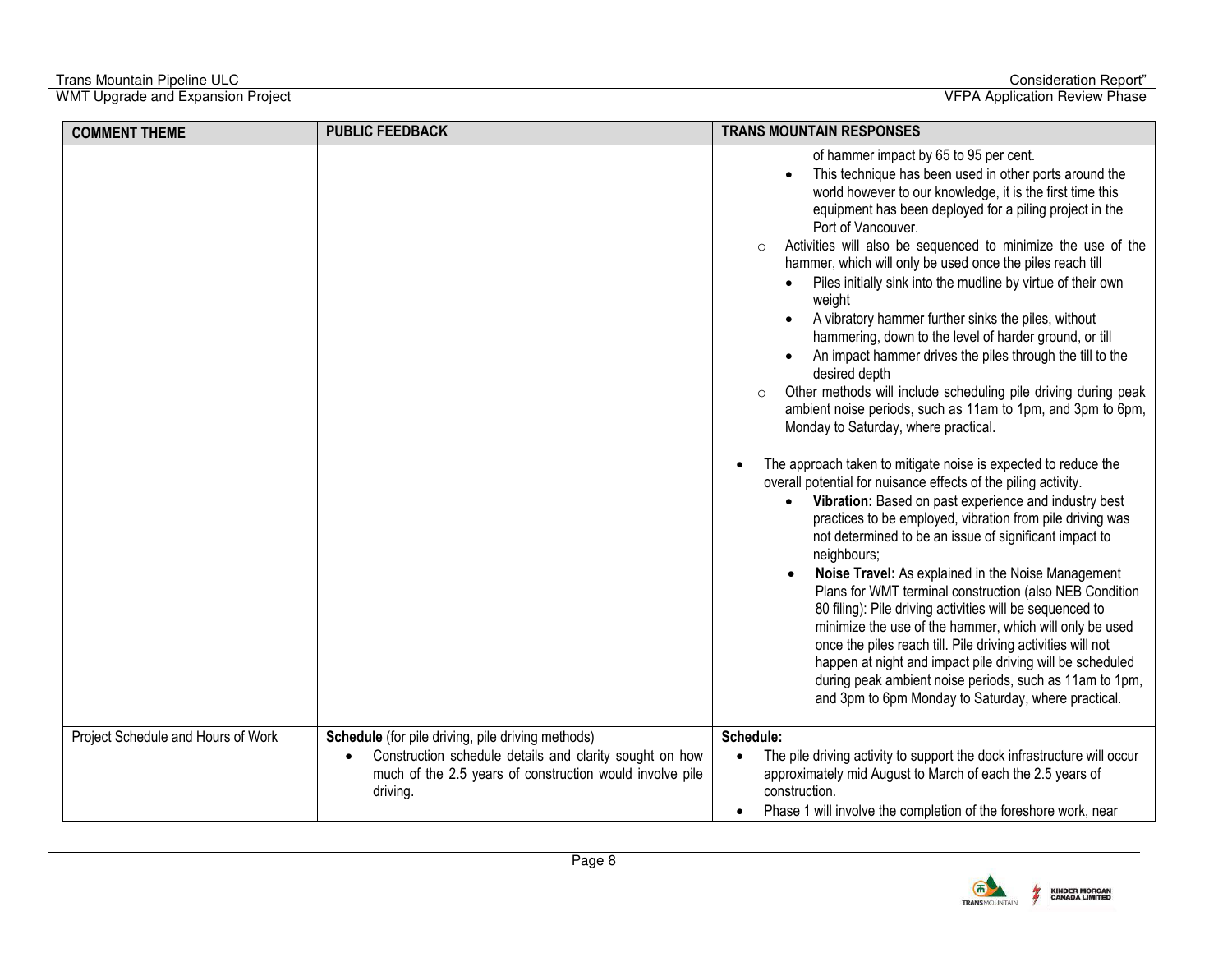| <b>COMMENT THEME</b>               | <b>PUBLIC FEEDBACK</b>                                                                                                                                                               | <b>TRANS MOUNTAIN RESPONSES</b>                                                                                                                                                                                                                                                                                                                                                                                                                                                                                                                                                                                                                                                                                                                                                                                                                                                                                                                                                                                                                                                                                                                                                                                                                                                                                                                                                                                                                                                                                                                                                                                                                                                                        |
|------------------------------------|--------------------------------------------------------------------------------------------------------------------------------------------------------------------------------------|--------------------------------------------------------------------------------------------------------------------------------------------------------------------------------------------------------------------------------------------------------------------------------------------------------------------------------------------------------------------------------------------------------------------------------------------------------------------------------------------------------------------------------------------------------------------------------------------------------------------------------------------------------------------------------------------------------------------------------------------------------------------------------------------------------------------------------------------------------------------------------------------------------------------------------------------------------------------------------------------------------------------------------------------------------------------------------------------------------------------------------------------------------------------------------------------------------------------------------------------------------------------------------------------------------------------------------------------------------------------------------------------------------------------------------------------------------------------------------------------------------------------------------------------------------------------------------------------------------------------------------------------------------------------------------------------------------|
|                                    |                                                                                                                                                                                      | of hammer impact by 65 to 95 per cent.<br>This technique has been used in other ports around the<br>world however to our knowledge, it is the first time this<br>equipment has been deployed for a piling project in the<br>Port of Vancouver.<br>Activities will also be sequenced to minimize the use of the<br>$\circ$<br>hammer, which will only be used once the piles reach till<br>Piles initially sink into the mudline by virtue of their own<br>weight<br>A vibratory hammer further sinks the piles, without<br>$\bullet$<br>hammering, down to the level of harder ground, or till<br>An impact hammer drives the piles through the till to the<br>$\bullet$<br>desired depth<br>Other methods will include scheduling pile driving during peak<br>$\circ$<br>ambient noise periods, such as 11am to 1pm, and 3pm to 6pm,<br>Monday to Saturday, where practical.<br>The approach taken to mitigate noise is expected to reduce the<br>overall potential for nuisance effects of the piling activity.<br>Vibration: Based on past experience and industry best<br>practices to be employed, vibration from pile driving was<br>not determined to be an issue of significant impact to<br>neighbours;<br>Noise Travel: As explained in the Noise Management<br>Plans for WMT terminal construction (also NEB Condition<br>80 filing): Pile driving activities will be sequenced to<br>minimize the use of the hammer, which will only be used<br>once the piles reach till. Pile driving activities will not<br>happen at night and impact pile driving will be scheduled<br>during peak ambient noise periods, such as 11am to 1pm,<br>and 3pm to 6pm Monday to Saturday, where practical. |
|                                    |                                                                                                                                                                                      |                                                                                                                                                                                                                                                                                                                                                                                                                                                                                                                                                                                                                                                                                                                                                                                                                                                                                                                                                                                                                                                                                                                                                                                                                                                                                                                                                                                                                                                                                                                                                                                                                                                                                                        |
| Project Schedule and Hours of Work | Schedule (for pile driving, pile driving methods)<br>Construction schedule details and clarity sought on how<br>much of the 2.5 years of construction would involve pile<br>driving. | Schedule:<br>The pile driving activity to support the dock infrastructure will occur<br>approximately mid August to March of each the 2.5 years of<br>construction.<br>Phase 1 will involve the completion of the foreshore work, near                                                                                                                                                                                                                                                                                                                                                                                                                                                                                                                                                                                                                                                                                                                                                                                                                                                                                                                                                                                                                                                                                                                                                                                                                                                                                                                                                                                                                                                                 |

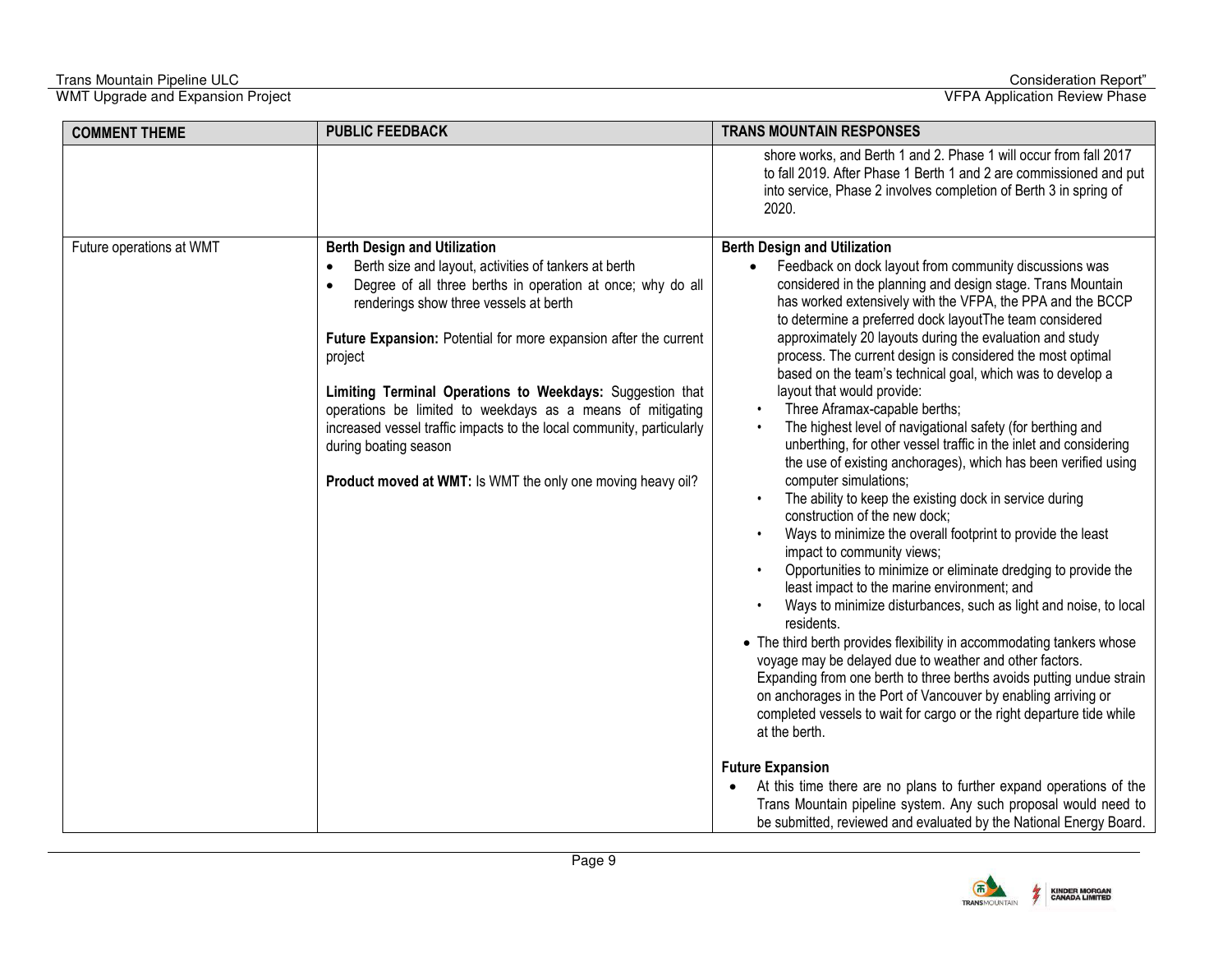| <b>COMMENT THEME</b>     | <b>PUBLIC FEEDBACK</b>                                                                                                                                                                                                                                                                                                                                                                                                                                                                                                                                                           | <b>TRANS MOUNTAIN RESPONSES</b>                                                                                                                                                                                                                                                                                                                                                                                                                                                                                                                                                                                                                                                                                                                                                                                                                                                                                                                                                                                                                                                                                                                                                                                                                                                                                                                                                                                                                                                                                                                                                                                                                                                                                                                                                                                                  |
|--------------------------|----------------------------------------------------------------------------------------------------------------------------------------------------------------------------------------------------------------------------------------------------------------------------------------------------------------------------------------------------------------------------------------------------------------------------------------------------------------------------------------------------------------------------------------------------------------------------------|----------------------------------------------------------------------------------------------------------------------------------------------------------------------------------------------------------------------------------------------------------------------------------------------------------------------------------------------------------------------------------------------------------------------------------------------------------------------------------------------------------------------------------------------------------------------------------------------------------------------------------------------------------------------------------------------------------------------------------------------------------------------------------------------------------------------------------------------------------------------------------------------------------------------------------------------------------------------------------------------------------------------------------------------------------------------------------------------------------------------------------------------------------------------------------------------------------------------------------------------------------------------------------------------------------------------------------------------------------------------------------------------------------------------------------------------------------------------------------------------------------------------------------------------------------------------------------------------------------------------------------------------------------------------------------------------------------------------------------------------------------------------------------------------------------------------------------|
|                          |                                                                                                                                                                                                                                                                                                                                                                                                                                                                                                                                                                                  | shore works, and Berth 1 and 2. Phase 1 will occur from fall 2017<br>to fall 2019. After Phase 1 Berth 1 and 2 are commissioned and put<br>into service, Phase 2 involves completion of Berth 3 in spring of<br>2020.                                                                                                                                                                                                                                                                                                                                                                                                                                                                                                                                                                                                                                                                                                                                                                                                                                                                                                                                                                                                                                                                                                                                                                                                                                                                                                                                                                                                                                                                                                                                                                                                            |
| Future operations at WMT | <b>Berth Design and Utilization</b><br>Berth size and layout, activities of tankers at berth<br>Degree of all three berths in operation at once; why do all<br>renderings show three vessels at berth<br>Future Expansion: Potential for more expansion after the current<br>project<br>Limiting Terminal Operations to Weekdays: Suggestion that<br>operations be limited to weekdays as a means of mitigating<br>increased vessel traffic impacts to the local community, particularly<br>during boating season<br>Product moved at WMT: Is WMT the only one moving heavy oil? | <b>Berth Design and Utilization</b><br>Feedback on dock layout from community discussions was<br>considered in the planning and design stage. Trans Mountain<br>has worked extensively with the VFPA, the PPA and the BCCP<br>to determine a preferred dock layoutThe team considered<br>approximately 20 layouts during the evaluation and study<br>process. The current design is considered the most optimal<br>based on the team's technical goal, which was to develop a<br>layout that would provide:<br>Three Aframax-capable berths;<br>$\bullet$<br>The highest level of navigational safety (for berthing and<br>$\bullet$<br>unberthing, for other vessel traffic in the inlet and considering<br>the use of existing anchorages), which has been verified using<br>computer simulations;<br>The ability to keep the existing dock in service during<br>construction of the new dock;<br>Ways to minimize the overall footprint to provide the least<br>$\bullet$<br>impact to community views;<br>Opportunities to minimize or eliminate dredging to provide the<br>least impact to the marine environment; and<br>Ways to minimize disturbances, such as light and noise, to local<br>residents.<br>• The third berth provides flexibility in accommodating tankers whose<br>voyage may be delayed due to weather and other factors.<br>Expanding from one berth to three berths avoids putting undue strain<br>on anchorages in the Port of Vancouver by enabling arriving or<br>completed vessels to wait for cargo or the right departure tide while<br>at the berth.<br><b>Future Expansion</b><br>At this time there are no plans to further expand operations of the<br>Trans Mountain pipeline system. Any such proposal would need to<br>be submitted, reviewed and evaluated by the National Energy Board. |

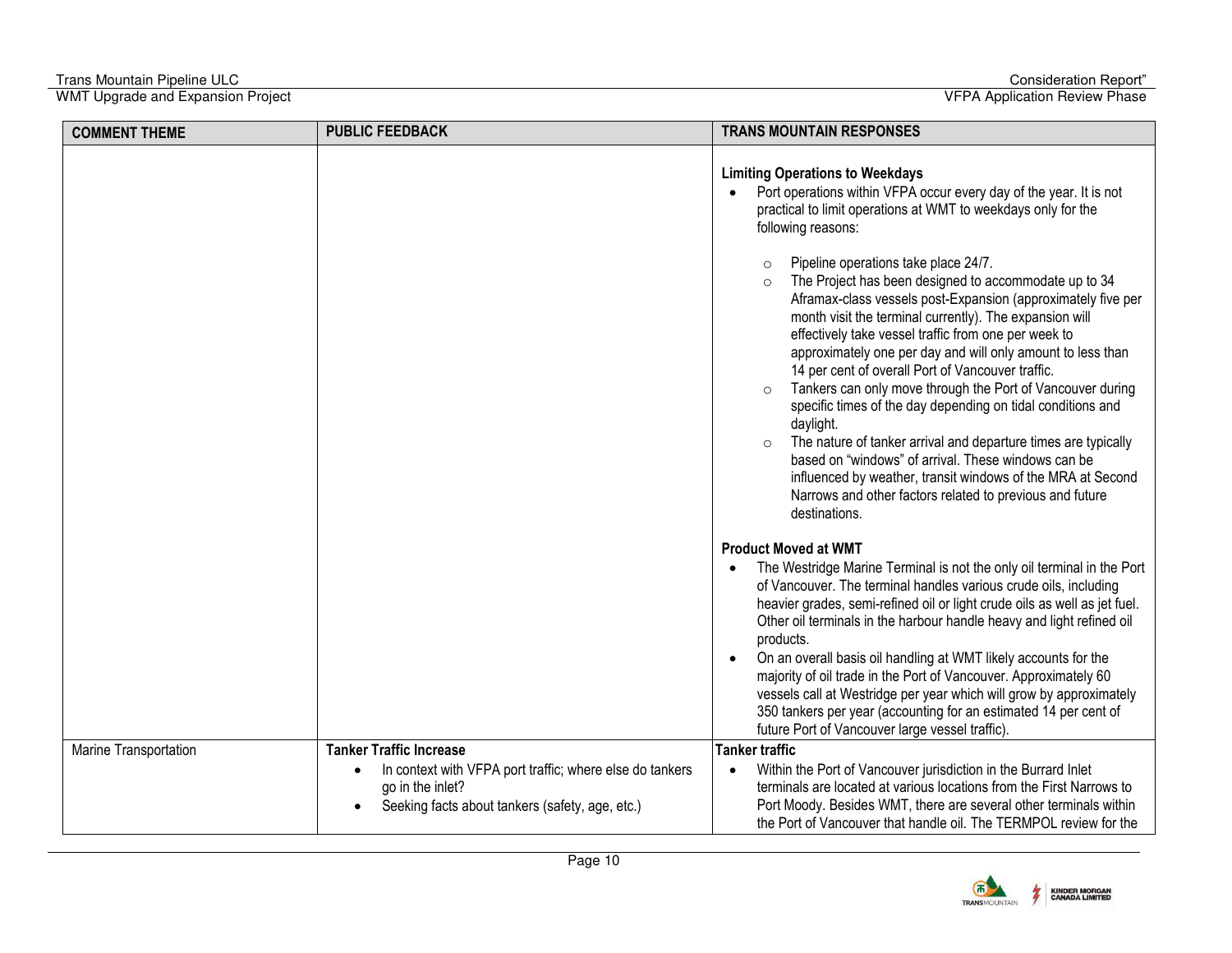| <b>COMMENT THEME</b>  | <b>PUBLIC FEEDBACK</b>                                                                                                                                                         | <b>TRANS MOUNTAIN RESPONSES</b>                                                                                                                                                                                                                                                                                                                                                                                                                                                                                                                                                                                                                                                                                                                                                                                                                      |
|-----------------------|--------------------------------------------------------------------------------------------------------------------------------------------------------------------------------|------------------------------------------------------------------------------------------------------------------------------------------------------------------------------------------------------------------------------------------------------------------------------------------------------------------------------------------------------------------------------------------------------------------------------------------------------------------------------------------------------------------------------------------------------------------------------------------------------------------------------------------------------------------------------------------------------------------------------------------------------------------------------------------------------------------------------------------------------|
|                       |                                                                                                                                                                                | <b>Limiting Operations to Weekdays</b><br>Port operations within VFPA occur every day of the year. It is not<br>practical to limit operations at WMT to weekdays only for the<br>following reasons:                                                                                                                                                                                                                                                                                                                                                                                                                                                                                                                                                                                                                                                  |
|                       |                                                                                                                                                                                | Pipeline operations take place 24/7.<br>The Project has been designed to accommodate up to 34<br>$\circ$<br>Aframax-class vessels post-Expansion (approximately five per<br>month visit the terminal currently). The expansion will<br>effectively take vessel traffic from one per week to<br>approximately one per day and will only amount to less than<br>14 per cent of overall Port of Vancouver traffic.<br>Tankers can only move through the Port of Vancouver during<br>$\circ$<br>specific times of the day depending on tidal conditions and<br>daylight.<br>The nature of tanker arrival and departure times are typically<br>$\circ$<br>based on "windows" of arrival. These windows can be<br>influenced by weather, transit windows of the MRA at Second<br>Narrows and other factors related to previous and future<br>destinations. |
|                       |                                                                                                                                                                                | <b>Product Moved at WMT</b><br>The Westridge Marine Terminal is not the only oil terminal in the Port<br>of Vancouver. The terminal handles various crude oils, including<br>heavier grades, semi-refined oil or light crude oils as well as jet fuel.<br>Other oil terminals in the harbour handle heavy and light refined oil<br>products.<br>On an overall basis oil handling at WMT likely accounts for the<br>$\bullet$<br>majority of oil trade in the Port of Vancouver. Approximately 60<br>vessels call at Westridge per year which will grow by approximately<br>350 tankers per year (accounting for an estimated 14 per cent of<br>future Port of Vancouver large vessel traffic).                                                                                                                                                       |
| Marine Transportation | <b>Tanker Traffic Increase</b><br>In context with VFPA port traffic; where else do tankers<br>$\bullet$<br>go in the inlet?<br>Seeking facts about tankers (safety, age, etc.) | <b>Tanker traffic</b><br>Within the Port of Vancouver jurisdiction in the Burrard Inlet<br>$\bullet$<br>terminals are located at various locations from the First Narrows to<br>Port Moody. Besides WMT, there are several other terminals within<br>the Port of Vancouver that handle oil. The TERMPOL review for the                                                                                                                                                                                                                                                                                                                                                                                                                                                                                                                               |

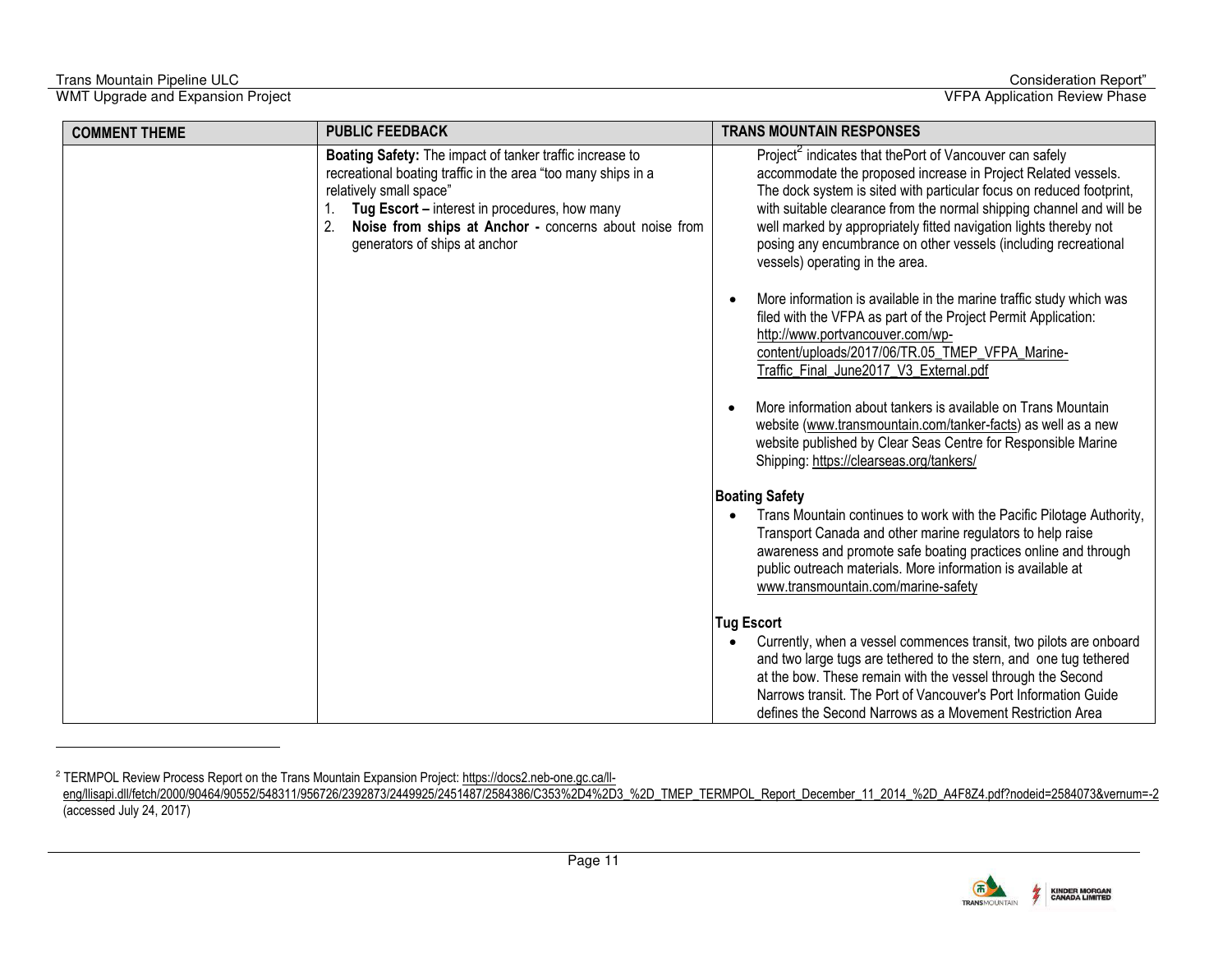-

WMT Upgrade and Expansion Project VFPA Application Review Phase

| <b>COMMENT THEME</b> | <b>PUBLIC FEEDBACK</b>                                                                                                                                                                                                                                                                                       | <b>TRANS MOUNTAIN RESPONSES</b>                                                                                                                                                                                                                                                                                                                                                                                                                                  |
|----------------------|--------------------------------------------------------------------------------------------------------------------------------------------------------------------------------------------------------------------------------------------------------------------------------------------------------------|------------------------------------------------------------------------------------------------------------------------------------------------------------------------------------------------------------------------------------------------------------------------------------------------------------------------------------------------------------------------------------------------------------------------------------------------------------------|
|                      | Boating Safety: The impact of tanker traffic increase to<br>recreational boating traffic in the area "too many ships in a<br>relatively small space"<br>Tug Escort - interest in procedures, how many<br>1.<br>2.<br>Noise from ships at Anchor - concerns about noise from<br>generators of ships at anchor | Project <sup>2</sup> indicates that the Port of Vancouver can safely<br>accommodate the proposed increase in Project Related vessels.<br>The dock system is sited with particular focus on reduced footprint,<br>with suitable clearance from the normal shipping channel and will be<br>well marked by appropriately fitted navigation lights thereby not<br>posing any encumbrance on other vessels (including recreational<br>vessels) operating in the area. |
|                      |                                                                                                                                                                                                                                                                                                              | More information is available in the marine traffic study which was<br>filed with the VFPA as part of the Project Permit Application:<br>http://www.portvancouver.com/wp-<br>content/uploads/2017/06/TR.05 TMEP VFPA Marine-<br>Traffic_Final_June2017_V3_External.pdf                                                                                                                                                                                           |
|                      |                                                                                                                                                                                                                                                                                                              | More information about tankers is available on Trans Mountain<br>website (www.transmountain.com/tanker-facts) as well as a new<br>website published by Clear Seas Centre for Responsible Marine<br>Shipping: https://clearseas.org/tankers/                                                                                                                                                                                                                      |
|                      |                                                                                                                                                                                                                                                                                                              | <b>Boating Safety</b>                                                                                                                                                                                                                                                                                                                                                                                                                                            |
|                      |                                                                                                                                                                                                                                                                                                              | Trans Mountain continues to work with the Pacific Pilotage Authority,<br>Transport Canada and other marine regulators to help raise<br>awareness and promote safe boating practices online and through<br>public outreach materials. More information is available at<br>www.transmountain.com/marine-safety                                                                                                                                                     |
|                      |                                                                                                                                                                                                                                                                                                              | <b>Tug Escort</b>                                                                                                                                                                                                                                                                                                                                                                                                                                                |
|                      |                                                                                                                                                                                                                                                                                                              | Currently, when a vessel commences transit, two pilots are onboard<br>and two large tugs are tethered to the stern, and one tug tethered<br>at the bow. These remain with the vessel through the Second<br>Narrows transit. The Port of Vancouver's Port Information Guide<br>defines the Second Narrows as a Movement Restriction Area                                                                                                                          |

<sup>2</sup> TERMPOL Review Process Report on the Trans Mountain Expansion Project[: https://docs2.neb-one.gc.ca/ll-](https://docs2.neb-one.gc.ca/ll-eng/llisapi.dll/fetch/2000/90464/90552/548311/956726/2392873/2449925/2451487/2584386/C353-4-3_-_TMEP_TERMPOL_Report_December_11_2014_-_A4F8Z4.pdf?nodeid=2584073&vernum=-2)

[eng/llisapi.dll/fetch/2000/90464/90552/548311/956726/2392873/2449925/2451487/2584386/C353%2D4%2D3\\_%2D\\_TMEP\\_TERMPOL\\_Report\\_December\\_11\\_2014\\_%2D\\_A4F8Z4.pdf?nodeid=2584073&vernum=-2](https://docs2.neb-one.gc.ca/ll-eng/llisapi.dll/fetch/2000/90464/90552/548311/956726/2392873/2449925/2451487/2584386/C353-4-3_-_TMEP_TERMPOL_Report_December_11_2014_-_A4F8Z4.pdf?nodeid=2584073&vernum=-2) (accessed July 24, 2017)

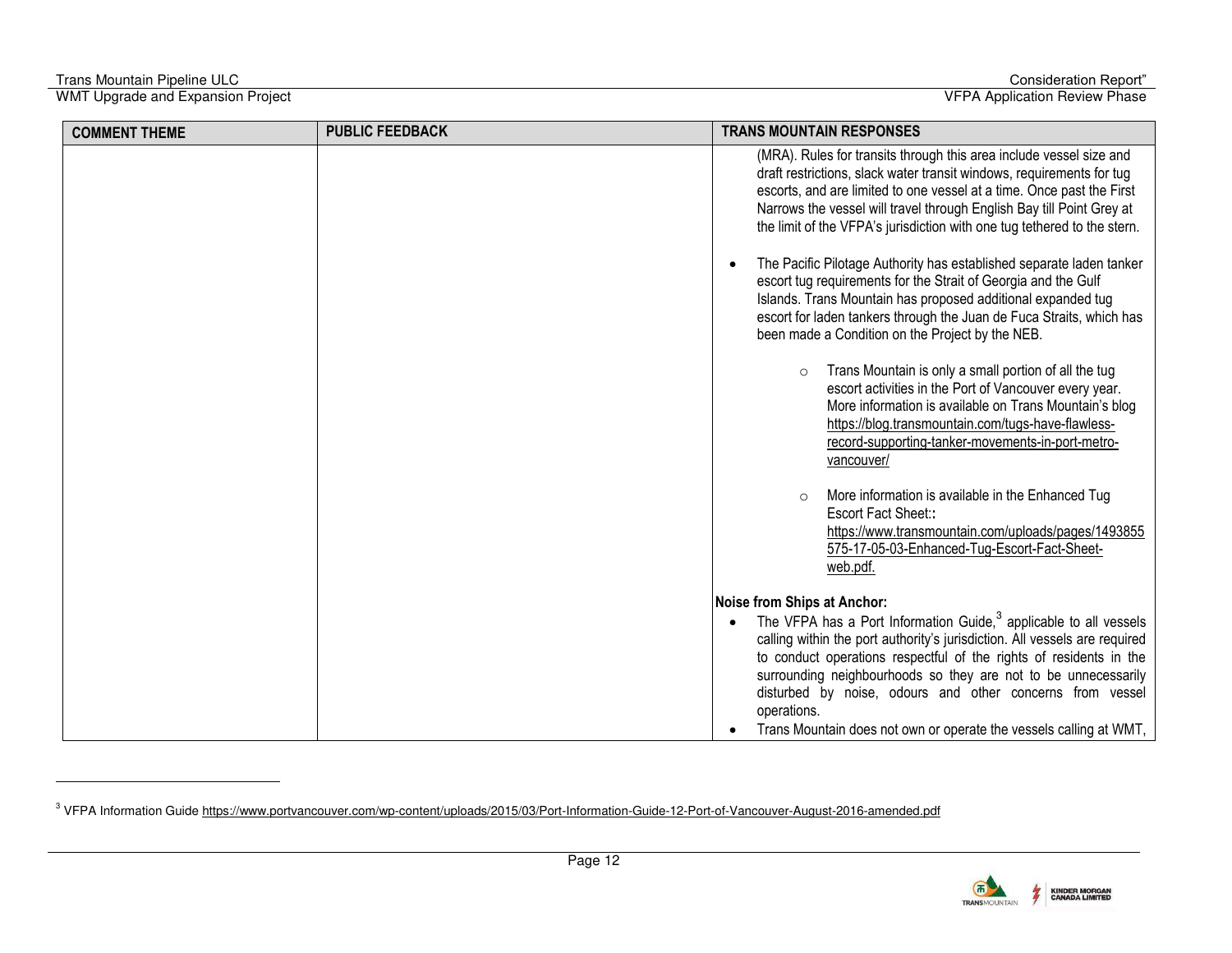-

| <b>COMMENT THEME</b> | <b>PUBLIC FEEDBACK</b> | <b>TRANS MOUNTAIN RESPONSES</b>                                                                                                                                                                                                                                                                                                                                                                                                              |
|----------------------|------------------------|----------------------------------------------------------------------------------------------------------------------------------------------------------------------------------------------------------------------------------------------------------------------------------------------------------------------------------------------------------------------------------------------------------------------------------------------|
|                      |                        |                                                                                                                                                                                                                                                                                                                                                                                                                                              |
|                      |                        | (MRA). Rules for transits through this area include vessel size and<br>draft restrictions, slack water transit windows, requirements for tug<br>escorts, and are limited to one vessel at a time. Once past the First<br>Narrows the vessel will travel through English Bay till Point Grey at<br>the limit of the VFPA's jurisdiction with one tug tethered to the stern.                                                                   |
|                      |                        | The Pacific Pilotage Authority has established separate laden tanker<br>escort tug requirements for the Strait of Georgia and the Gulf<br>Islands. Trans Mountain has proposed additional expanded tug<br>escort for laden tankers through the Juan de Fuca Straits, which has<br>been made a Condition on the Project by the NEB.                                                                                                           |
|                      |                        | Trans Mountain is only a small portion of all the tug<br>$\circ$<br>escort activities in the Port of Vancouver every year.<br>More information is available on Trans Mountain's blog<br>https://blog.transmountain.com/tugs-have-flawless-<br>record-supporting-tanker-movements-in-port-metro-<br>vancouver/                                                                                                                                |
|                      |                        | More information is available in the Enhanced Tug<br>$\circ$<br>Escort Fact Sheet::<br>https://www.transmountain.com/uploads/pages/1493855<br>575-17-05-03-Enhanced-Tug-Escort-Fact-Sheet-<br>web.pdf.                                                                                                                                                                                                                                       |
|                      |                        | Noise from Ships at Anchor:                                                                                                                                                                                                                                                                                                                                                                                                                  |
|                      |                        | The VFPA has a Port Information Guide, $3$ applicable to all vessels<br>calling within the port authority's jurisdiction. All vessels are required<br>to conduct operations respectful of the rights of residents in the<br>surrounding neighbourhoods so they are not to be unnecessarily<br>disturbed by noise, odours and other concerns from vessel<br>operations.<br>Trans Mountain does not own or operate the vessels calling at WMT, |



<sup>&</sup>lt;sup>3</sup> VFPA Information Guide<https://www.portvancouver.com/wp-content/uploads/2015/03/Port-Information-Guide-12-Port-of-Vancouver-August-2016-amended.pdf>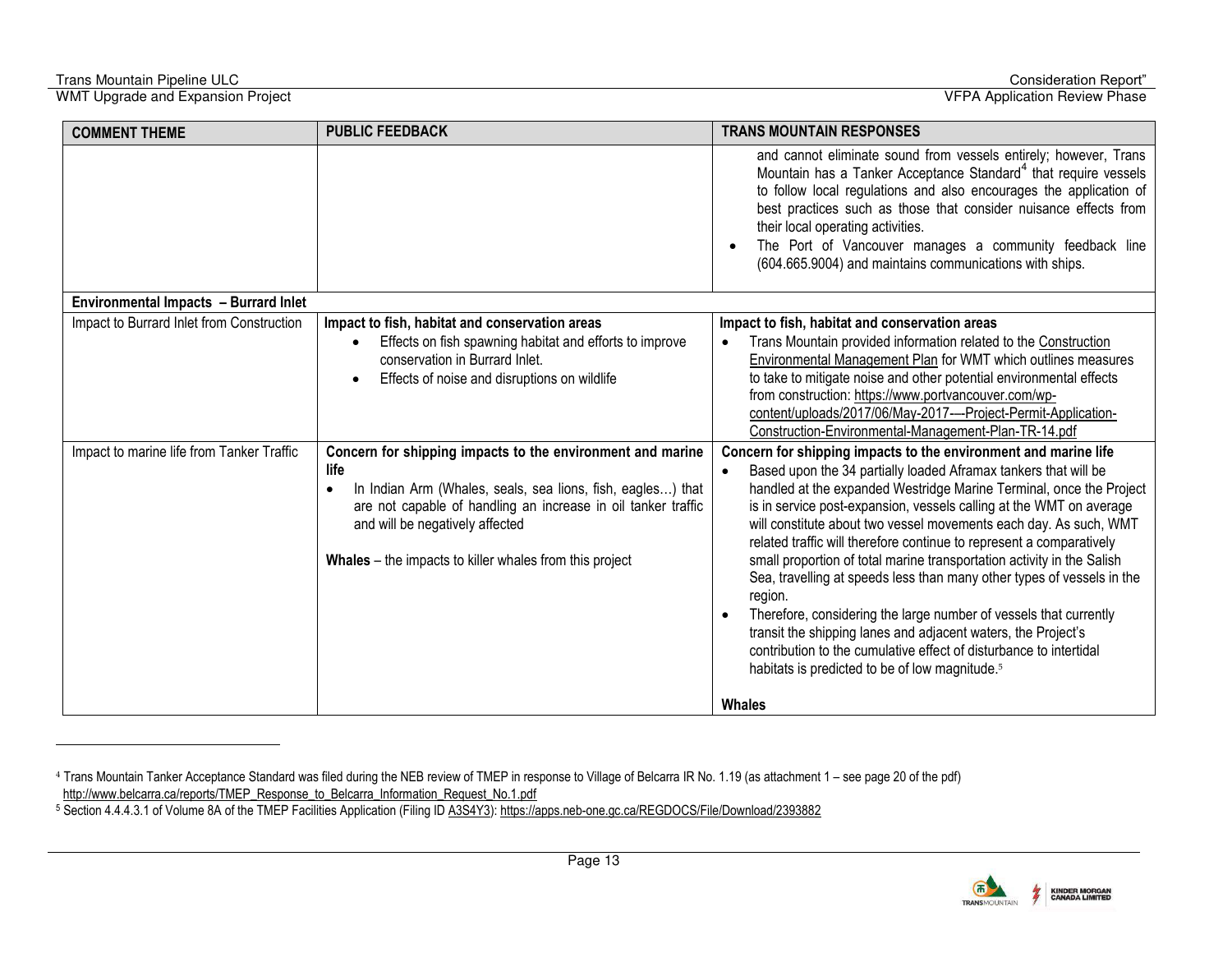-

| <b>COMMENT THEME</b>                      | <b>PUBLIC FEEDBACK</b>                                                                                                                                                                                                                                                                                        | <b>TRANS MOUNTAIN RESPONSES</b>                                                                                                                                                                                                                                                                                                                                                                                                                                                                                                                                                                                                                                                                                                                                                                                                                                                                      |
|-------------------------------------------|---------------------------------------------------------------------------------------------------------------------------------------------------------------------------------------------------------------------------------------------------------------------------------------------------------------|------------------------------------------------------------------------------------------------------------------------------------------------------------------------------------------------------------------------------------------------------------------------------------------------------------------------------------------------------------------------------------------------------------------------------------------------------------------------------------------------------------------------------------------------------------------------------------------------------------------------------------------------------------------------------------------------------------------------------------------------------------------------------------------------------------------------------------------------------------------------------------------------------|
|                                           |                                                                                                                                                                                                                                                                                                               | and cannot eliminate sound from vessels entirely; however, Trans<br>Mountain has a Tanker Acceptance Standard <sup>4</sup> that require vessels<br>to follow local regulations and also encourages the application of<br>best practices such as those that consider nuisance effects from<br>their local operating activities.<br>The Port of Vancouver manages a community feedback line<br>(604.665.9004) and maintains communications with ships.                                                                                                                                                                                                                                                                                                                                                                                                                                                 |
| Environmental Impacts - Burrard Inlet     |                                                                                                                                                                                                                                                                                                               |                                                                                                                                                                                                                                                                                                                                                                                                                                                                                                                                                                                                                                                                                                                                                                                                                                                                                                      |
| Impact to Burrard Inlet from Construction | Impact to fish, habitat and conservation areas<br>Effects on fish spawning habitat and efforts to improve<br>conservation in Burrard Inlet.<br>Effects of noise and disruptions on wildlife                                                                                                                   | Impact to fish, habitat and conservation areas<br>Trans Mountain provided information related to the Construction<br>Environmental Management Plan for WMT which outlines measures<br>to take to mitigate noise and other potential environmental effects<br>from construction: https://www.portvancouver.com/wp-<br>content/uploads/2017/06/May-2017---Project-Permit-Application-<br>Construction-Environmental-Management-Plan-TR-14.pdf                                                                                                                                                                                                                                                                                                                                                                                                                                                          |
| Impact to marine life from Tanker Traffic | Concern for shipping impacts to the environment and marine<br>life<br>In Indian Arm (Whales, seals, sea lions, fish, eagles) that<br>$\bullet$<br>are not capable of handling an increase in oil tanker traffic<br>and will be negatively affected<br>Whales – the impacts to killer whales from this project | Concern for shipping impacts to the environment and marine life<br>Based upon the 34 partially loaded Aframax tankers that will be<br>$\bullet$<br>handled at the expanded Westridge Marine Terminal, once the Project<br>is in service post-expansion, vessels calling at the WMT on average<br>will constitute about two vessel movements each day. As such, WMT<br>related traffic will therefore continue to represent a comparatively<br>small proportion of total marine transportation activity in the Salish<br>Sea, travelling at speeds less than many other types of vessels in the<br>region.<br>Therefore, considering the large number of vessels that currently<br>transit the shipping lanes and adjacent waters, the Project's<br>contribution to the cumulative effect of disturbance to intertidal<br>habitats is predicted to be of low magnitude. <sup>5</sup><br><b>Whales</b> |



<sup>&</sup>lt;sup>4</sup> Trans Mountain Tanker Acceptance Standard was filed during the NEB review of TMEP in response to Village of Belcarra IR No. 1.19 (as attachment 1 – see page 20 of the pdf)

http://www.belcarra.ca/reports/TMEP\_Response\_to\_Belcarra\_Information\_Request\_No.1.pdf<br><sup>5</sup> Section 4.4.4.3.1 of Volume 8A of the TMEP Facilities Application (Filing ID <u>A3S4Y3): https://apps.neb-one.qc.ca/REGDOCS/File/Downl</u>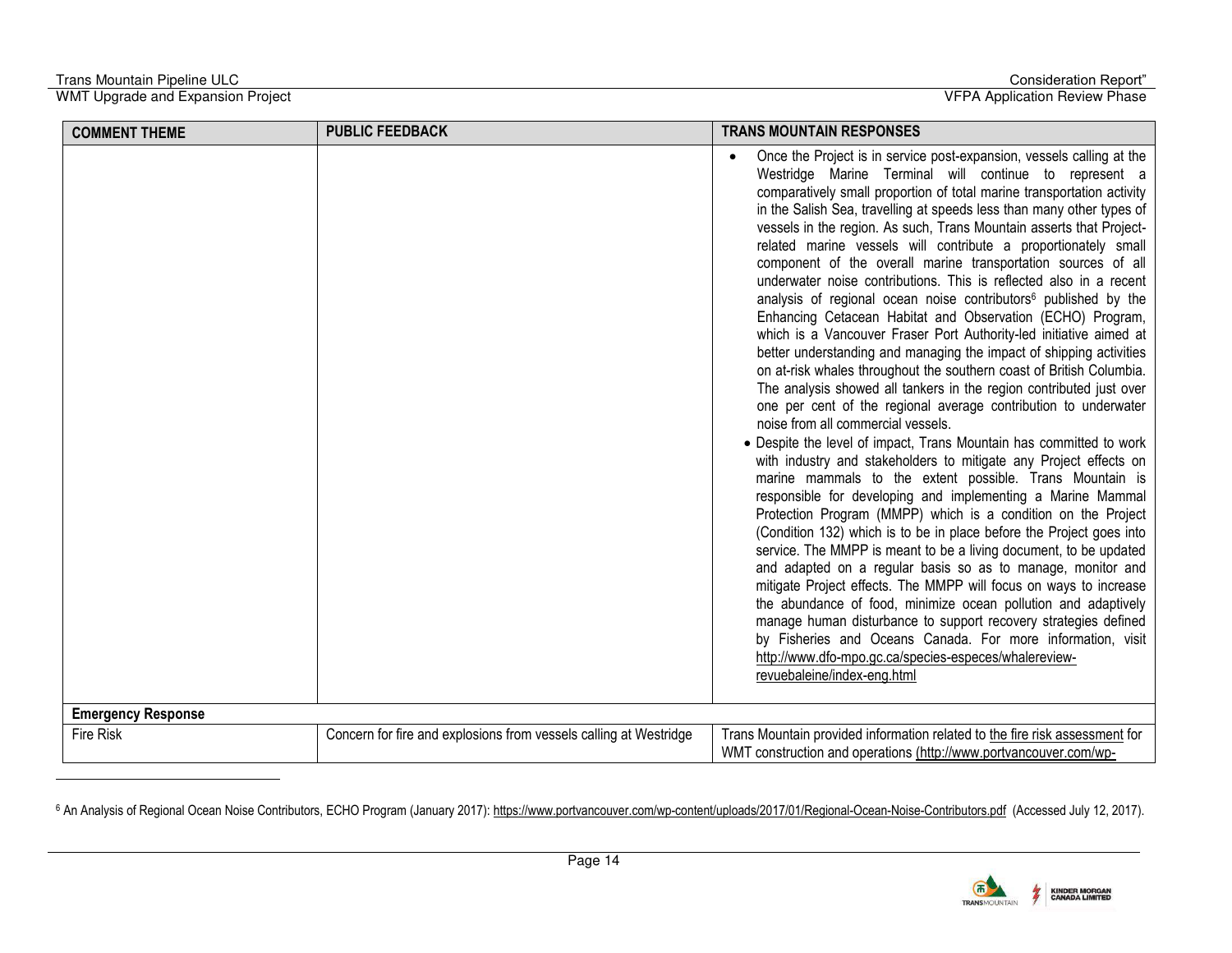-

WMT Upgrade and Expansion Project VFPA Application Review Phase

| <b>COMMENT THEME</b>      | <b>PUBLIC FEEDBACK</b>                                            | <b>TRANS MOUNTAIN RESPONSES</b>                                                                                                                                                                                                                                                                                                                                                                                                                                                                                                                                                                                                                                                                                                                                                                                                                                                                                                                                                                                                                                                                                                                                                                                                                                                                                                                                                                                                                                                                                                                                                                                                                                                                                                                                                                                                                                                                                                                                                                                                            |
|---------------------------|-------------------------------------------------------------------|--------------------------------------------------------------------------------------------------------------------------------------------------------------------------------------------------------------------------------------------------------------------------------------------------------------------------------------------------------------------------------------------------------------------------------------------------------------------------------------------------------------------------------------------------------------------------------------------------------------------------------------------------------------------------------------------------------------------------------------------------------------------------------------------------------------------------------------------------------------------------------------------------------------------------------------------------------------------------------------------------------------------------------------------------------------------------------------------------------------------------------------------------------------------------------------------------------------------------------------------------------------------------------------------------------------------------------------------------------------------------------------------------------------------------------------------------------------------------------------------------------------------------------------------------------------------------------------------------------------------------------------------------------------------------------------------------------------------------------------------------------------------------------------------------------------------------------------------------------------------------------------------------------------------------------------------------------------------------------------------------------------------------------------------|
|                           |                                                                   | Once the Project is in service post-expansion, vessels calling at the<br>Westridge Marine Terminal will continue to represent a<br>comparatively small proportion of total marine transportation activity<br>in the Salish Sea, travelling at speeds less than many other types of<br>vessels in the region. As such, Trans Mountain asserts that Project-<br>related marine vessels will contribute a proportionately small<br>component of the overall marine transportation sources of all<br>underwater noise contributions. This is reflected also in a recent<br>analysis of regional ocean noise contributors <sup>6</sup> published by the<br>Enhancing Cetacean Habitat and Observation (ECHO) Program,<br>which is a Vancouver Fraser Port Authority-led initiative aimed at<br>better understanding and managing the impact of shipping activities<br>on at-risk whales throughout the southern coast of British Columbia.<br>The analysis showed all tankers in the region contributed just over<br>one per cent of the regional average contribution to underwater<br>noise from all commercial vessels.<br>• Despite the level of impact, Trans Mountain has committed to work<br>with industry and stakeholders to mitigate any Project effects on<br>marine mammals to the extent possible. Trans Mountain is<br>responsible for developing and implementing a Marine Mammal<br>Protection Program (MMPP) which is a condition on the Project<br>(Condition 132) which is to be in place before the Project goes into<br>service. The MMPP is meant to be a living document, to be updated<br>and adapted on a regular basis so as to manage, monitor and<br>mitigate Project effects. The MMPP will focus on ways to increase<br>the abundance of food, minimize ocean pollution and adaptively<br>manage human disturbance to support recovery strategies defined<br>by Fisheries and Oceans Canada. For more information, visit<br>http://www.dfo-mpo.gc.ca/species-especes/whalereview-<br>revuebaleine/index-eng.html |
| <b>Emergency Response</b> |                                                                   |                                                                                                                                                                                                                                                                                                                                                                                                                                                                                                                                                                                                                                                                                                                                                                                                                                                                                                                                                                                                                                                                                                                                                                                                                                                                                                                                                                                                                                                                                                                                                                                                                                                                                                                                                                                                                                                                                                                                                                                                                                            |
| <b>Fire Risk</b>          | Concern for fire and explosions from vessels calling at Westridge | Trans Mountain provided information related to the fire risk assessment for<br>WMT construction and operations (http://www.portvancouver.com/wp-                                                                                                                                                                                                                                                                                                                                                                                                                                                                                                                                                                                                                                                                                                                                                                                                                                                                                                                                                                                                                                                                                                                                                                                                                                                                                                                                                                                                                                                                                                                                                                                                                                                                                                                                                                                                                                                                                           |

<sup>6</sup> An Analysis of Regional Ocean Noise Contributors, ECHO Program (January 2017)[: https://www.portvancouver.com/wp-content/uploads/2017/01/Regional-Ocean-Noise-Contributors.pdf](https://www.portvancouver.com/wp-content/uploads/2017/01/Regional-Ocean-Noise-Contributors.pdf) (Accessed July 12, 2017).

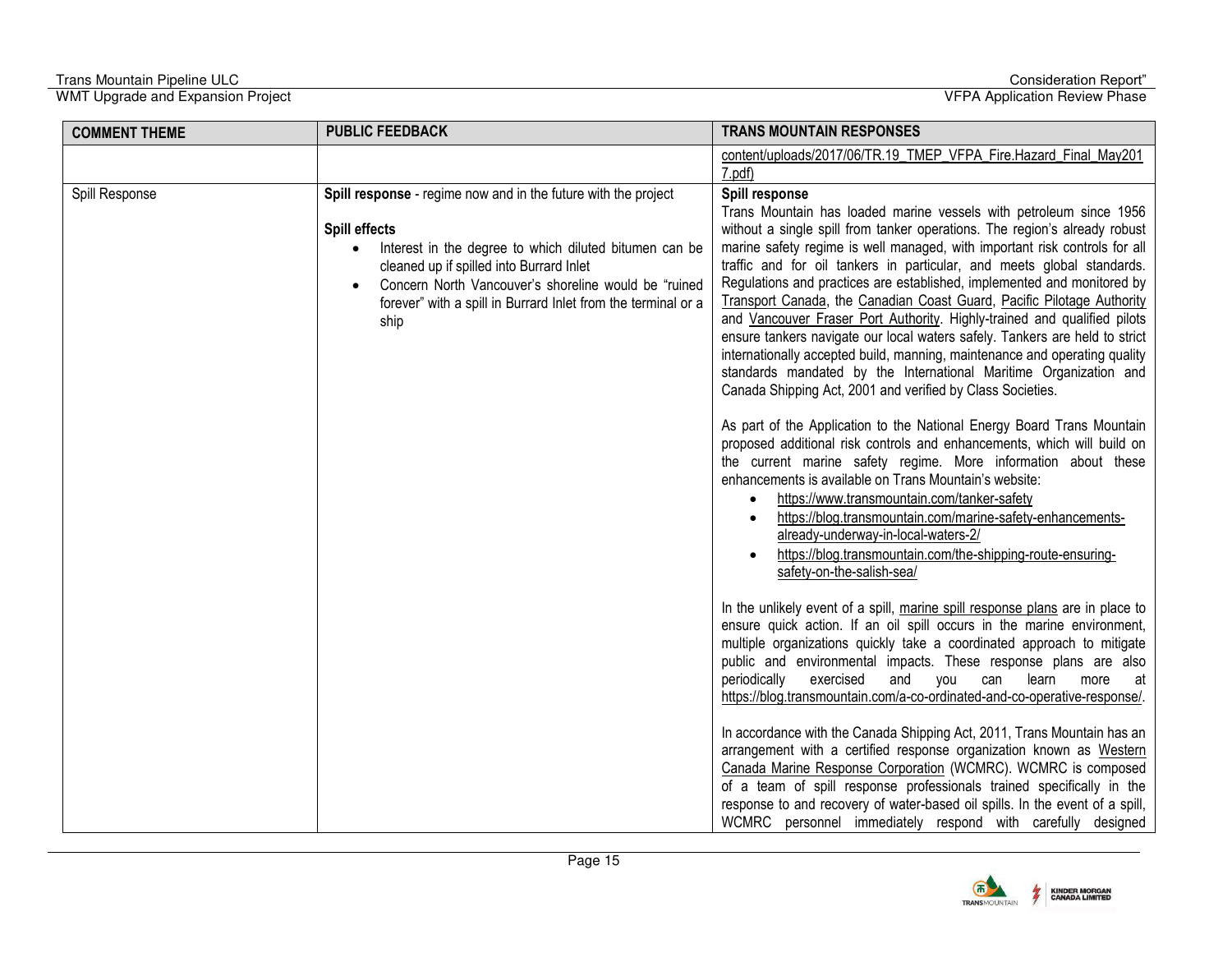| <b>COMMENT THEME</b> | <b>PUBLIC FEEDBACK</b>                                                                                                                                                                                                                                                                                                              | <b>TRANS MOUNTAIN RESPONSES</b>                                                                                                                                                                                                                                                                                                                                                                                                                                                                                                                                                                                                                                                                                                                                                                                                                                                                                                                                                                                                                                                                                                                                                                                                                                                                                                                                                              |
|----------------------|-------------------------------------------------------------------------------------------------------------------------------------------------------------------------------------------------------------------------------------------------------------------------------------------------------------------------------------|----------------------------------------------------------------------------------------------------------------------------------------------------------------------------------------------------------------------------------------------------------------------------------------------------------------------------------------------------------------------------------------------------------------------------------------------------------------------------------------------------------------------------------------------------------------------------------------------------------------------------------------------------------------------------------------------------------------------------------------------------------------------------------------------------------------------------------------------------------------------------------------------------------------------------------------------------------------------------------------------------------------------------------------------------------------------------------------------------------------------------------------------------------------------------------------------------------------------------------------------------------------------------------------------------------------------------------------------------------------------------------------------|
|                      |                                                                                                                                                                                                                                                                                                                                     | content/uploads/2017/06/TR.19_TMEP_VFPA_Fire.Hazard_Final_May201<br>7.pdf)                                                                                                                                                                                                                                                                                                                                                                                                                                                                                                                                                                                                                                                                                                                                                                                                                                                                                                                                                                                                                                                                                                                                                                                                                                                                                                                   |
| Spill Response       | Spill response - regime now and in the future with the project<br>Spill effects<br>Interest in the degree to which diluted bitumen can be<br>$\bullet$<br>cleaned up if spilled into Burrard Inlet<br>Concern North Vancouver's shoreline would be "ruined<br>forever" with a spill in Burrard Inlet from the terminal or a<br>ship | Spill response<br>Trans Mountain has loaded marine vessels with petroleum since 1956<br>without a single spill from tanker operations. The region's already robust<br>marine safety regime is well managed, with important risk controls for all<br>traffic and for oil tankers in particular, and meets global standards.<br>Regulations and practices are established, implemented and monitored by<br>Transport Canada, the Canadian Coast Guard, Pacific Pilotage Authority<br>and Vancouver Fraser Port Authority. Highly-trained and qualified pilots<br>ensure tankers navigate our local waters safely. Tankers are held to strict<br>internationally accepted build, manning, maintenance and operating quality<br>standards mandated by the International Maritime Organization and<br>Canada Shipping Act, 2001 and verified by Class Societies.<br>As part of the Application to the National Energy Board Trans Mountain<br>proposed additional risk controls and enhancements, which will build on<br>the current marine safety regime. More information about these<br>enhancements is available on Trans Mountain's website:<br>https://www.transmountain.com/tanker-safety<br>https://blog.transmountain.com/marine-safety-enhancements-<br>already-underway-in-local-waters-2/<br>https://blog.transmountain.com/the-shipping-route-ensuring-<br>safety-on-the-salish-sea/ |
|                      |                                                                                                                                                                                                                                                                                                                                     | In the unlikely event of a spill, marine spill response plans are in place to<br>ensure quick action. If an oil spill occurs in the marine environment,<br>multiple organizations quickly take a coordinated approach to mitigate<br>public and environmental impacts. These response plans are also<br>periodically<br>exercised<br>and<br>you<br>learn<br>can<br>more<br>at<br>https://blog.transmountain.com/a-co-ordinated-and-co-operative-response/.<br>In accordance with the Canada Shipping Act, 2011, Trans Mountain has an<br>arrangement with a certified response organization known as Western<br>Canada Marine Response Corporation (WCMRC). WCMRC is composed<br>of a team of spill response professionals trained specifically in the<br>response to and recovery of water-based oil spills. In the event of a spill,<br>WCMRC personnel immediately respond with carefully designed                                                                                                                                                                                                                                                                                                                                                                                                                                                                                        |

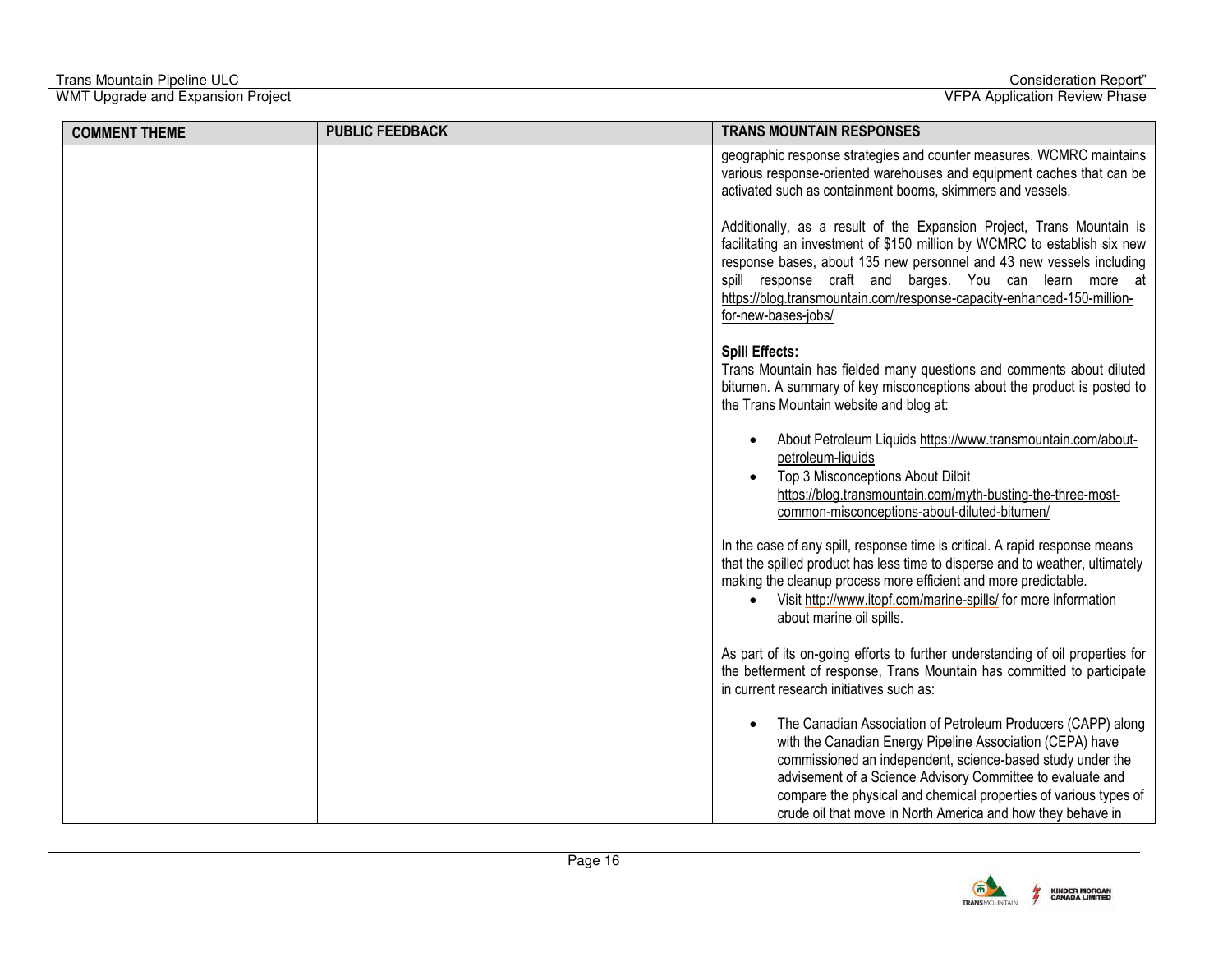| <b>COMMENT THEME</b> | <b>PUBLIC FEEDBACK</b> | <b>TRANS MOUNTAIN RESPONSES</b>                                                                                                                                                                                                                                                                                                                                                          |
|----------------------|------------------------|------------------------------------------------------------------------------------------------------------------------------------------------------------------------------------------------------------------------------------------------------------------------------------------------------------------------------------------------------------------------------------------|
|                      |                        | geographic response strategies and counter measures. WCMRC maintains<br>various response-oriented warehouses and equipment caches that can be<br>activated such as containment booms, skimmers and vessels.                                                                                                                                                                              |
|                      |                        | Additionally, as a result of the Expansion Project, Trans Mountain is<br>facilitating an investment of \$150 million by WCMRC to establish six new<br>response bases, about 135 new personnel and 43 new vessels including<br>spill response craft and barges. You can learn more at<br>https://blog.transmountain.com/response-capacity-enhanced-150-million-<br>for-new-bases-jobs/    |
|                      |                        | <b>Spill Effects:</b><br>Trans Mountain has fielded many questions and comments about diluted<br>bitumen. A summary of key misconceptions about the product is posted to<br>the Trans Mountain website and blog at:                                                                                                                                                                      |
|                      |                        | About Petroleum Liquids https://www.transmountain.com/about-<br>petroleum-liquids<br>Top 3 Misconceptions About Dilbit<br>https://blog.transmountain.com/myth-busting-the-three-most-<br>common-misconceptions-about-diluted-bitumen/                                                                                                                                                    |
|                      |                        | In the case of any spill, response time is critical. A rapid response means<br>that the spilled product has less time to disperse and to weather, ultimately<br>making the cleanup process more efficient and more predictable.<br>Visit http://www.itopf.com/marine-spills/ for more information<br>about marine oil spills.                                                            |
|                      |                        | As part of its on-going efforts to further understanding of oil properties for<br>the betterment of response, Trans Mountain has committed to participate<br>in current research initiatives such as:                                                                                                                                                                                    |
|                      |                        | The Canadian Association of Petroleum Producers (CAPP) along<br>with the Canadian Energy Pipeline Association (CEPA) have<br>commissioned an independent, science-based study under the<br>advisement of a Science Advisory Committee to evaluate and<br>compare the physical and chemical properties of various types of<br>crude oil that move in North America and how they behave in |

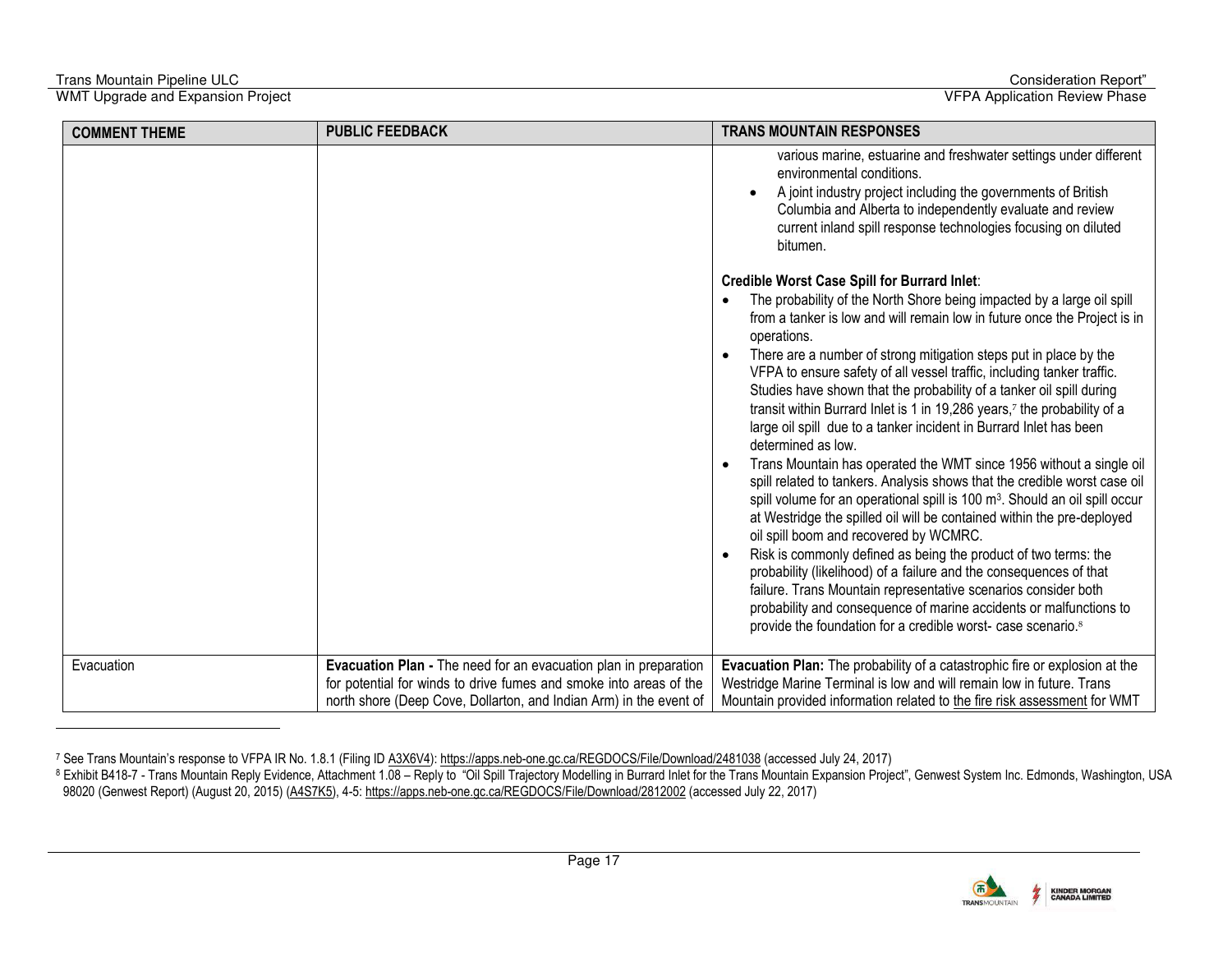# Trans Mountain Pipeline ULC Consideration Report"<br>WMT Upgrade and Expansion Project Consideration Reportive Consideration Reportive Consideration Reportive Cons<br>Consideration Review Phase

l

WMT Upgrade and Expansion Project

| <b>COMMENT THEME</b> | <b>PUBLIC FEEDBACK</b>                                                                                                                   | <b>TRANS MOUNTAIN RESPONSES</b>                                                                                                                                                                                                                                                                                                                                                                                                                                                                                                                                                                                                                                                                                                                                                                                                                                                                                                                                                                                                                                                                                                                                                                                                                                                                                                                                      |
|----------------------|------------------------------------------------------------------------------------------------------------------------------------------|----------------------------------------------------------------------------------------------------------------------------------------------------------------------------------------------------------------------------------------------------------------------------------------------------------------------------------------------------------------------------------------------------------------------------------------------------------------------------------------------------------------------------------------------------------------------------------------------------------------------------------------------------------------------------------------------------------------------------------------------------------------------------------------------------------------------------------------------------------------------------------------------------------------------------------------------------------------------------------------------------------------------------------------------------------------------------------------------------------------------------------------------------------------------------------------------------------------------------------------------------------------------------------------------------------------------------------------------------------------------|
|                      |                                                                                                                                          | various marine, estuarine and freshwater settings under different<br>environmental conditions.<br>A joint industry project including the governments of British<br>Columbia and Alberta to independently evaluate and review<br>current inland spill response technologies focusing on diluted<br>bitumen.                                                                                                                                                                                                                                                                                                                                                                                                                                                                                                                                                                                                                                                                                                                                                                                                                                                                                                                                                                                                                                                           |
|                      |                                                                                                                                          | <b>Credible Worst Case Spill for Burrard Inlet:</b><br>The probability of the North Shore being impacted by a large oil spill<br>from a tanker is low and will remain low in future once the Project is in<br>operations.<br>There are a number of strong mitigation steps put in place by the<br>VFPA to ensure safety of all vessel traffic, including tanker traffic.<br>Studies have shown that the probability of a tanker oil spill during<br>transit within Burrard Inlet is 1 in 19,286 years, <sup>7</sup> the probability of a<br>large oil spill due to a tanker incident in Burrard Inlet has been<br>determined as low.<br>Trans Mountain has operated the WMT since 1956 without a single oil<br>spill related to tankers. Analysis shows that the credible worst case oil<br>spill volume for an operational spill is 100 m <sup>3</sup> . Should an oil spill occur<br>at Westridge the spilled oil will be contained within the pre-deployed<br>oil spill boom and recovered by WCMRC.<br>Risk is commonly defined as being the product of two terms: the<br>probability (likelihood) of a failure and the consequences of that<br>failure. Trans Mountain representative scenarios consider both<br>probability and consequence of marine accidents or malfunctions to<br>provide the foundation for a credible worst- case scenario. <sup>8</sup> |
| Evacuation           | Evacuation Plan - The need for an evacuation plan in preparation                                                                         | Evacuation Plan: The probability of a catastrophic fire or explosion at the                                                                                                                                                                                                                                                                                                                                                                                                                                                                                                                                                                                                                                                                                                                                                                                                                                                                                                                                                                                                                                                                                                                                                                                                                                                                                          |
|                      | for potential for winds to drive fumes and smoke into areas of the<br>north shore (Deep Cove, Dollarton, and Indian Arm) in the event of | Westridge Marine Terminal is low and will remain low in future. Trans<br>Mountain provided information related to the fire risk assessment for WMT                                                                                                                                                                                                                                                                                                                                                                                                                                                                                                                                                                                                                                                                                                                                                                                                                                                                                                                                                                                                                                                                                                                                                                                                                   |

<sup>7</sup> See Trans Mountain's response to VFPA IR No. 1.8.1 (Filing ID <u>A3X6V4): https://apps.neb-one.gc.ca/REGDOCS/File/Download/2481038</u> (accessed July 24, 2017)<br><sup>8</sup> Exhibit B418-7 - Trans Mountain Reply Evidence, Attachment 98020 (Genwest Report) (August 20, 2015) (<u>A4S7K5),</u> 4-5: <u>https://apps.neb-one.gc.ca/REGDOCS/File/Download/2812002</u> (accessed July 22, 2017)

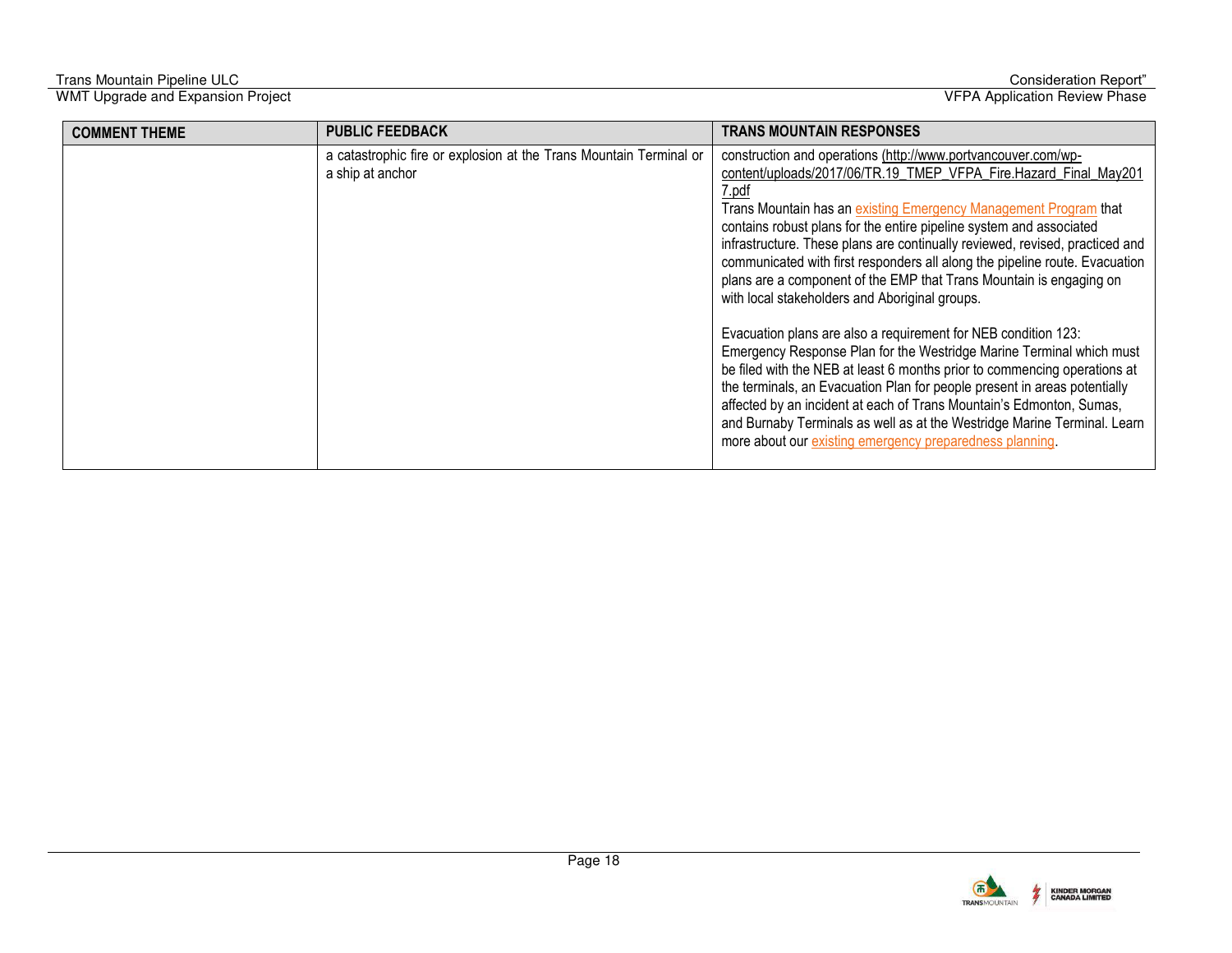| <b>COMMENT THEME</b> | <b>PUBLIC FEEDBACK</b>                                                                 | <b>TRANS MOUNTAIN RESPONSES</b>                                                                                                                                                                                                                                                                                                                                                                                                                                                                                                                                                                                                                                                                                                                                                                                                                                                                                                                                                                                                                                                                   |
|----------------------|----------------------------------------------------------------------------------------|---------------------------------------------------------------------------------------------------------------------------------------------------------------------------------------------------------------------------------------------------------------------------------------------------------------------------------------------------------------------------------------------------------------------------------------------------------------------------------------------------------------------------------------------------------------------------------------------------------------------------------------------------------------------------------------------------------------------------------------------------------------------------------------------------------------------------------------------------------------------------------------------------------------------------------------------------------------------------------------------------------------------------------------------------------------------------------------------------|
|                      | a catastrophic fire or explosion at the Trans Mountain Terminal or<br>a ship at anchor | construction and operations (http://www.portvancouver.com/wp-<br>content/uploads/2017/06/TR.19 TMEP VFPA Fire.Hazard Final May201<br>7.pdf<br>Trans Mountain has an existing Emergency Management Program that<br>contains robust plans for the entire pipeline system and associated<br>infrastructure. These plans are continually reviewed, revised, practiced and<br>communicated with first responders all along the pipeline route. Evacuation<br>plans are a component of the EMP that Trans Mountain is engaging on<br>with local stakeholders and Aboriginal groups.<br>Evacuation plans are also a requirement for NEB condition 123:<br>Emergency Response Plan for the Westridge Marine Terminal which must<br>be filed with the NEB at least 6 months prior to commencing operations at<br>the terminals, an Evacuation Plan for people present in areas potentially<br>affected by an incident at each of Trans Mountain's Edmonton, Sumas,<br>and Burnaby Terminals as well as at the Westridge Marine Terminal. Learn<br>more about our existing emergency preparedness planning. |